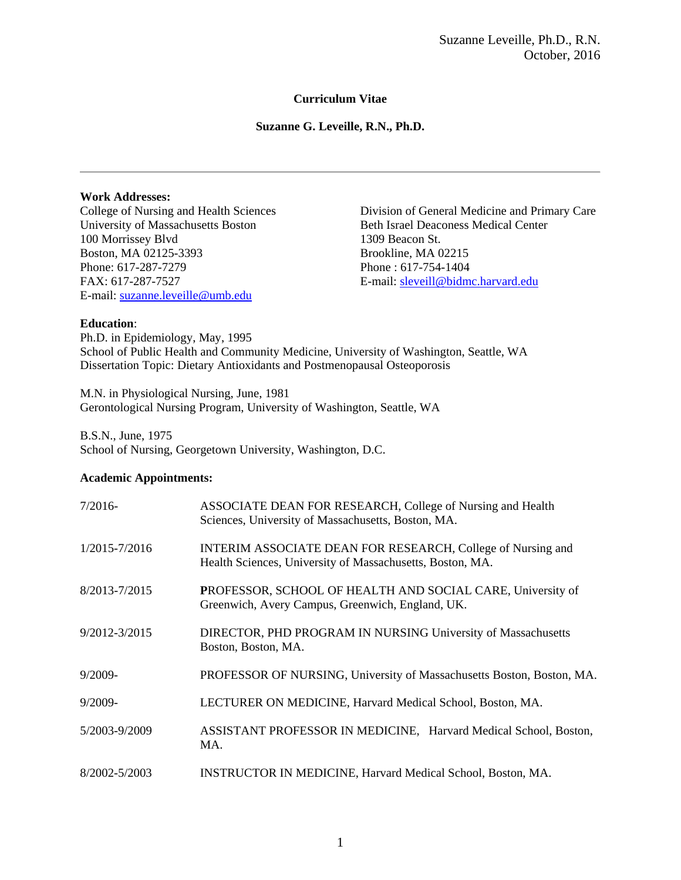## **Curriculum Vitae**

**Suzanne G. Leveille, R.N., Ph.D.**

### **Work Addresses:**

University of Massachusetts Boston Beth Israel Deaconess Medical Center 100 Morrissey Blvd 1309 Beacon St. Boston, MA 02125-3393 Brookline, MA 02215 Phone: 617-287-7279 Phone : 617-754-1404 FAX: 617-287-7527 E-mail: sleveill@bidmc.harvard.edu E-mail: suzanne.leveille@umb.edu

College of Nursing and Health Sciences Division of General Medicine and Primary Care

### **Education**:

Ph.D. in Epidemiology, May, 1995 School of Public Health and Community Medicine, University of Washington, Seattle, WA Dissertation Topic: Dietary Antioxidants and Postmenopausal Osteoporosis

M.N. in Physiological Nursing, June, 1981 Gerontological Nursing Program, University of Washington, Seattle, WA

B.S.N., June, 1975 School of Nursing, Georgetown University, Washington, D.C.

### **Academic Appointments:**

| $7/2016-$         | ASSOCIATE DEAN FOR RESEARCH, College of Nursing and Health<br>Sciences, University of Massachusetts, Boston, MA.                |
|-------------------|---------------------------------------------------------------------------------------------------------------------------------|
| $1/2015 - 7/2016$ | <b>INTERIM ASSOCIATE DEAN FOR RESEARCH, College of Nursing and</b><br>Health Sciences, University of Massachusetts, Boston, MA. |
| 8/2013-7/2015     | <b>PROFESSOR, SCHOOL OF HEALTH AND SOCIAL CARE, University of</b><br>Greenwich, Avery Campus, Greenwich, England, UK.           |
| 9/2012-3/2015     | DIRECTOR, PHD PROGRAM IN NURSING University of Massachusetts<br>Boston, Boston, MA.                                             |
| $9/2009-$         | PROFESSOR OF NURSING, University of Massachusetts Boston, Boston, MA.                                                           |
| $9/2009 -$        | LECTURER ON MEDICINE, Harvard Medical School, Boston, MA.                                                                       |
| 5/2003-9/2009     | ASSISTANT PROFESSOR IN MEDICINE, Harvard Medical School, Boston,<br>MA.                                                         |
| 8/2002-5/2003     | <b>INSTRUCTOR IN MEDICINE, Harvard Medical School, Boston, MA.</b>                                                              |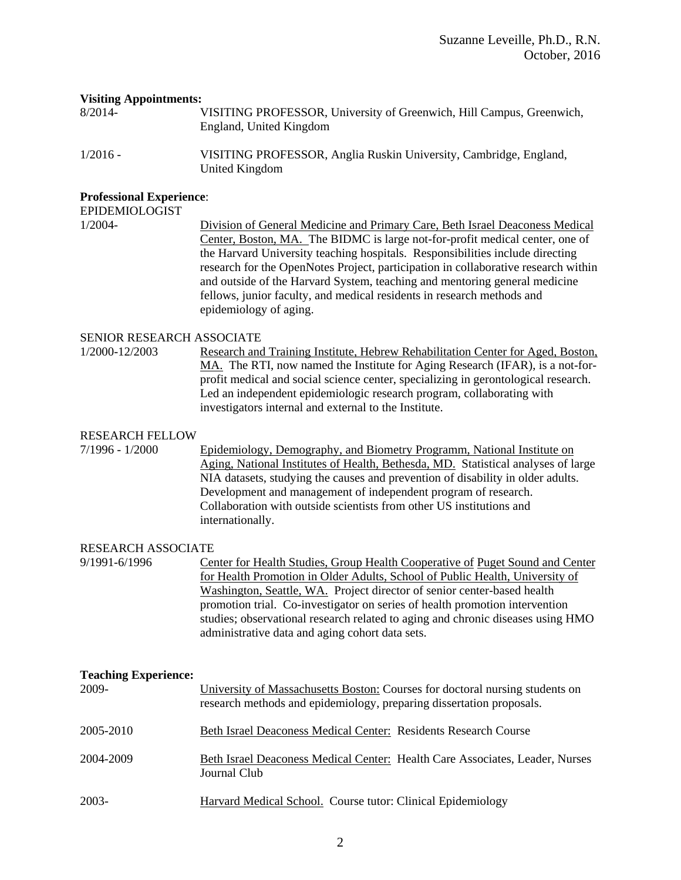#### **Visiting Appointments:**

8/2014- VISITING PROFESSOR, University of Greenwich, Hill Campus, Greenwich, England, United Kingdom

1/2016 - VISITING PROFESSOR, Anglia Ruskin University, Cambridge, England, United Kingdom

### **Professional Experience**:

EPIDEMIOLOGIST

1/2004- Division of General Medicine and Primary Care, Beth Israel Deaconess Medical Center, Boston, MA. The BIDMC is large not-for-profit medical center, one of the Harvard University teaching hospitals. Responsibilities include directing research for the OpenNotes Project, participation in collaborative research within and outside of the Harvard System, teaching and mentoring general medicine fellows, junior faculty, and medical residents in research methods and epidemiology of aging.

#### SENIOR RESEARCH ASSOCIATE

1/2000-12/2003 Research and Training Institute, Hebrew Rehabilitation Center for Aged, Boston, MA. The RTI, now named the Institute for Aging Research (IFAR), is a not-forprofit medical and social science center, specializing in gerontological research. Led an independent epidemiologic research program, collaborating with investigators internal and external to the Institute.

### RESEARCH FELLOW

7/1996 - 1/2000 Epidemiology, Demography, and Biometry Programm, National Institute on Aging, National Institutes of Health, Bethesda, MD. Statistical analyses of large NIA datasets, studying the causes and prevention of disability in older adults. Development and management of independent program of research. Collaboration with outside scientists from other US institutions and internationally.

### RESEARCH ASSOCIATE

9/1991-6/1996 Center for Health Studies, Group Health Cooperative of Puget Sound and Center for Health Promotion in Older Adults, School of Public Health, University of Washington, Seattle, WA. Project director of senior center-based health promotion trial. Co-investigator on series of health promotion intervention studies; observational research related to aging and chronic diseases using HMO administrative data and aging cohort data sets.

| <b>Teaching Experience:</b> |                                                                                                                                                      |
|-----------------------------|------------------------------------------------------------------------------------------------------------------------------------------------------|
| 2009-                       | University of Massachusetts Boston: Courses for doctoral nursing students on<br>research methods and epidemiology, preparing dissertation proposals. |
| 2005-2010                   | Beth Israel Deaconess Medical Center: Residents Research Course                                                                                      |
| 2004-2009                   | Beth Israel Deaconess Medical Center: Health Care Associates, Leader, Nurses<br>Journal Club                                                         |
| 2003-                       | Harvard Medical School. Course tutor: Clinical Epidemiology                                                                                          |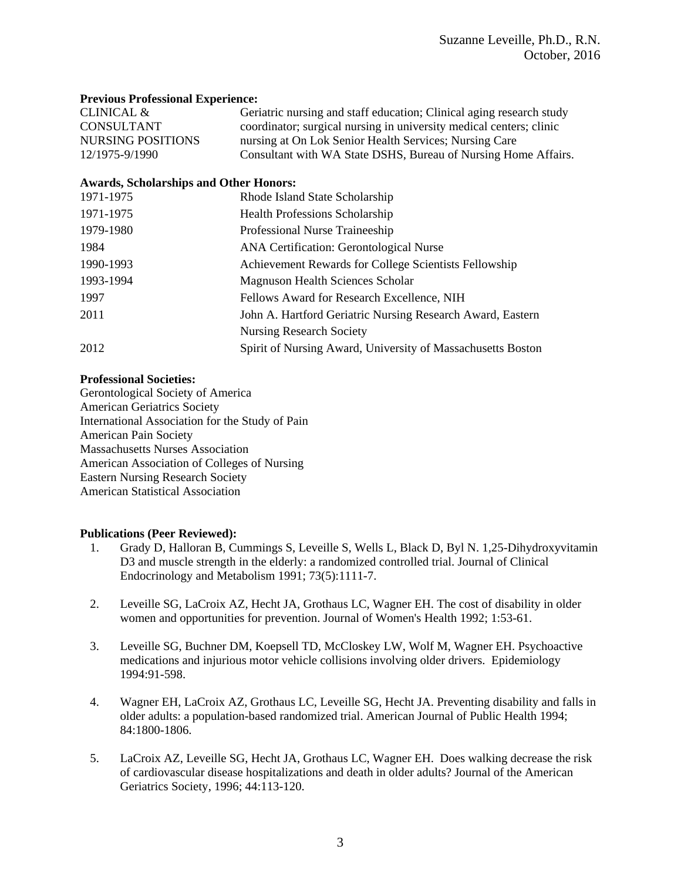### **Previous Professional Experience:**

| CLINICAL &               | Geriatric nursing and staff education; Clinical aging research study |
|--------------------------|----------------------------------------------------------------------|
| CONSULTANT               | coordinator; surgical nursing in university medical centers; clinic  |
| <b>NURSING POSITIONS</b> | nursing at On Lok Senior Health Services; Nursing Care               |
| 12/1975-9/1990           | Consultant with WA State DSHS, Bureau of Nursing Home Affairs.       |

### **Awards, Scholarships and Other Honors:**

| 1971-1975 | Rhode Island State Scholarship                              |
|-----------|-------------------------------------------------------------|
| 1971-1975 | <b>Health Professions Scholarship</b>                       |
| 1979-1980 | Professional Nurse Traineeship                              |
| 1984      | ANA Certification: Gerontological Nurse                     |
| 1990-1993 | Achievement Rewards for College Scientists Fellowship       |
| 1993-1994 | Magnuson Health Sciences Scholar                            |
| 1997      | Fellows Award for Research Excellence, NIH                  |
| 2011      | John A. Hartford Geriatric Nursing Research Award, Eastern  |
|           | <b>Nursing Research Society</b>                             |
| 2012      | Spirit of Nursing Award, University of Massachusetts Boston |

### **Professional Societies:**

Gerontological Society of America American Geriatrics Society International Association for the Study of Pain American Pain Society Massachusetts Nurses Association American Association of Colleges of Nursing Eastern Nursing Research Society American Statistical Association

### **Publications (Peer Reviewed):**

- 1. Grady D, Halloran B, Cummings S, Leveille S, Wells L, Black D, Byl N. 1,25-Dihydroxyvitamin D3 and muscle strength in the elderly: a randomized controlled trial. Journal of Clinical Endocrinology and Metabolism 1991; 73(5):1111-7.
- 2. Leveille SG, LaCroix AZ, Hecht JA, Grothaus LC, Wagner EH. The cost of disability in older women and opportunities for prevention. Journal of Women's Health 1992; 1:53-61.
- 3. Leveille SG, Buchner DM, Koepsell TD, McCloskey LW, Wolf M, Wagner EH. Psychoactive medications and injurious motor vehicle collisions involving older drivers. Epidemiology 1994:91-598.
- 4. Wagner EH, LaCroix AZ, Grothaus LC, Leveille SG, Hecht JA. Preventing disability and falls in older adults: a population-based randomized trial. American Journal of Public Health 1994; 84:1800-1806.
- 5. LaCroix AZ, Leveille SG, Hecht JA, Grothaus LC, Wagner EH. Does walking decrease the risk of cardiovascular disease hospitalizations and death in older adults? Journal of the American Geriatrics Society, 1996; 44:113-120.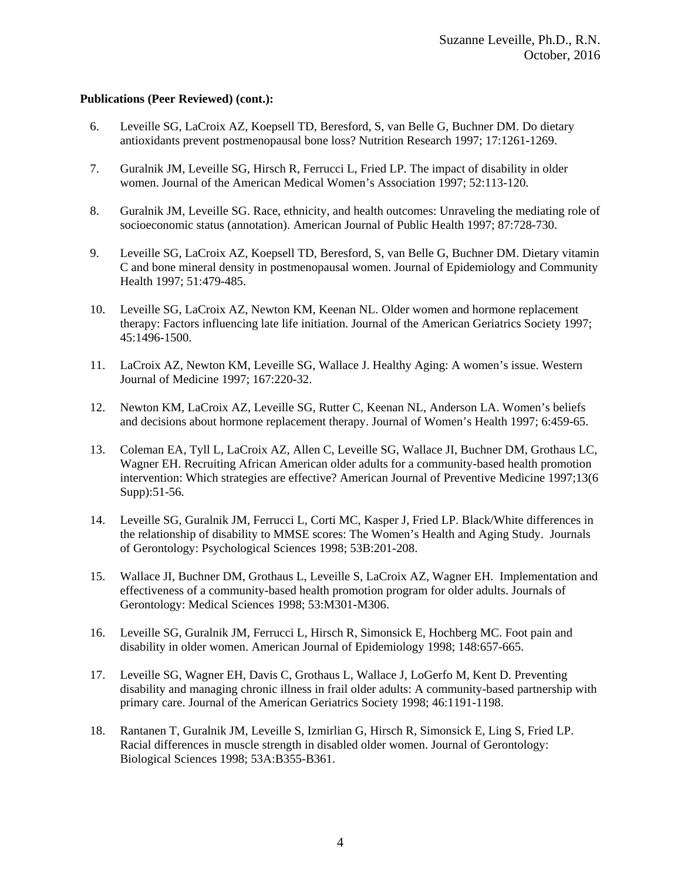- 6. Leveille SG, LaCroix AZ, Koepsell TD, Beresford, S, van Belle G, Buchner DM. Do dietary antioxidants prevent postmenopausal bone loss? Nutrition Research 1997; 17:1261-1269.
- 7. Guralnik JM, Leveille SG, Hirsch R, Ferrucci L, Fried LP. The impact of disability in older women. Journal of the American Medical Women's Association 1997; 52:113-120.
- 8. Guralnik JM, Leveille SG. Race, ethnicity, and health outcomes: Unraveling the mediating role of socioeconomic status (annotation). American Journal of Public Health 1997; 87:728-730.
- 9. Leveille SG, LaCroix AZ, Koepsell TD, Beresford, S, van Belle G, Buchner DM. Dietary vitamin C and bone mineral density in postmenopausal women. Journal of Epidemiology and Community Health 1997; 51:479-485.
- 10. Leveille SG, LaCroix AZ, Newton KM, Keenan NL. Older women and hormone replacement therapy: Factors influencing late life initiation. Journal of the American Geriatrics Society 1997; 45:1496-1500.
- 11. LaCroix AZ, Newton KM, Leveille SG, Wallace J. Healthy Aging: A women's issue. Western Journal of Medicine 1997; 167:220-32.
- 12. Newton KM, LaCroix AZ, Leveille SG, Rutter C, Keenan NL, Anderson LA. Women's beliefs and decisions about hormone replacement therapy. Journal of Women's Health 1997; 6:459-65.
- 13. Coleman EA, Tyll L, LaCroix AZ, Allen C, Leveille SG, Wallace JI, Buchner DM, Grothaus LC, Wagner EH. Recruiting African American older adults for a community-based health promotion intervention: Which strategies are effective? American Journal of Preventive Medicine 1997;13(6 Supp):51-56.
- 14. Leveille SG, Guralnik JM, Ferrucci L, Corti MC, Kasper J, Fried LP. Black/White differences in the relationship of disability to MMSE scores: The Women's Health and Aging Study. Journals of Gerontology: Psychological Sciences 1998; 53B:201-208.
- 15. Wallace JI, Buchner DM, Grothaus L, Leveille S, LaCroix AZ, Wagner EH. Implementation and effectiveness of a community-based health promotion program for older adults. Journals of Gerontology: Medical Sciences 1998; 53:M301-M306.
- 16. Leveille SG, Guralnik JM, Ferrucci L, Hirsch R, Simonsick E, Hochberg MC. Foot pain and disability in older women. American Journal of Epidemiology 1998; 148:657-665.
- 17. Leveille SG, Wagner EH, Davis C, Grothaus L, Wallace J, LoGerfo M, Kent D. Preventing disability and managing chronic illness in frail older adults: A community-based partnership with primary care. Journal of the American Geriatrics Society 1998; 46:1191-1198.
- 18. Rantanen T, Guralnik JM, Leveille S, Izmirlian G, Hirsch R, Simonsick E, Ling S, Fried LP. Racial differences in muscle strength in disabled older women. Journal of Gerontology: Biological Sciences 1998; 53A:B355-B361.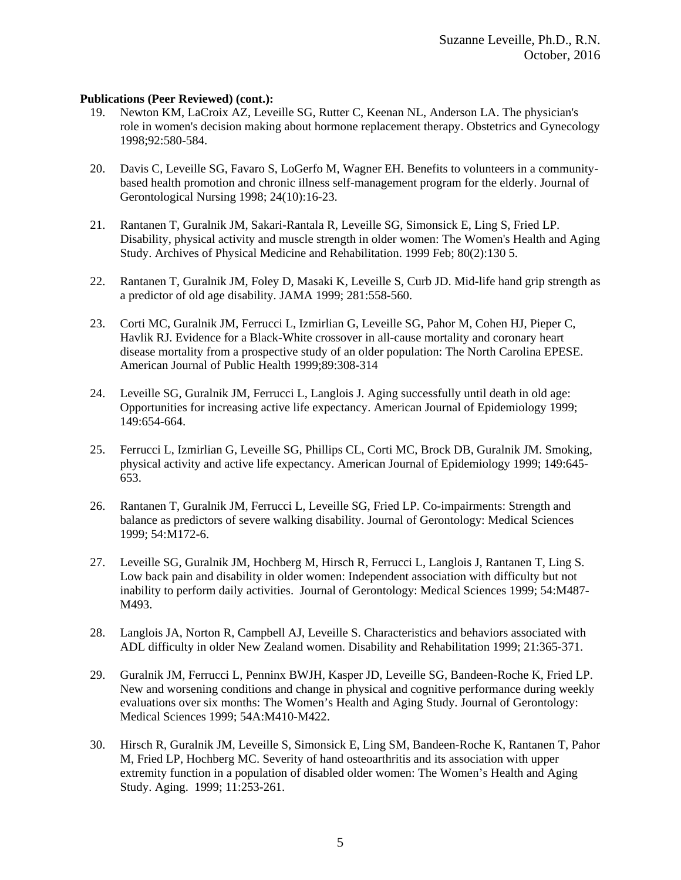- 19. Newton KM, LaCroix AZ, Leveille SG, Rutter C, Keenan NL, Anderson LA. The physician's role in women's decision making about hormone replacement therapy. Obstetrics and Gynecology 1998;92:580-584.
- 20. Davis C, Leveille SG, Favaro S, LoGerfo M, Wagner EH. Benefits to volunteers in a communitybased health promotion and chronic illness self-management program for the elderly. Journal of Gerontological Nursing 1998; 24(10):16-23.
- 21. Rantanen T, Guralnik JM, Sakari-Rantala R, Leveille SG, Simonsick E, Ling S, Fried LP. Disability, physical activity and muscle strength in older women: The Women's Health and Aging Study. Archives of Physical Medicine and Rehabilitation. 1999 Feb; 80(2):130 5.
- 22. Rantanen T, Guralnik JM, Foley D, Masaki K, Leveille S, Curb JD. Mid-life hand grip strength as a predictor of old age disability. JAMA 1999; 281:558-560.
- 23. Corti MC, Guralnik JM, Ferrucci L, Izmirlian G, Leveille SG, Pahor M, Cohen HJ, Pieper C, Havlik RJ. Evidence for a Black-White crossover in all-cause mortality and coronary heart disease mortality from a prospective study of an older population: The North Carolina EPESE. American Journal of Public Health 1999;89:308-314
- 24. Leveille SG, Guralnik JM, Ferrucci L, Langlois J. Aging successfully until death in old age: Opportunities for increasing active life expectancy. American Journal of Epidemiology 1999; 149:654-664.
- 25. Ferrucci L, Izmirlian G, Leveille SG, Phillips CL, Corti MC, Brock DB, Guralnik JM. Smoking, physical activity and active life expectancy. American Journal of Epidemiology 1999; 149:645- 653.
- 26. Rantanen T, Guralnik JM, Ferrucci L, Leveille SG, Fried LP. Co-impairments: Strength and balance as predictors of severe walking disability. Journal of Gerontology: Medical Sciences 1999; 54:M172-6.
- 27. Leveille SG, Guralnik JM, Hochberg M, Hirsch R, Ferrucci L, Langlois J, Rantanen T, Ling S. Low back pain and disability in older women: Independent association with difficulty but not inability to perform daily activities. Journal of Gerontology: Medical Sciences 1999; 54:M487- M493.
- 28. Langlois JA, Norton R, Campbell AJ, Leveille S. Characteristics and behaviors associated with ADL difficulty in older New Zealand women. Disability and Rehabilitation 1999; 21:365-371.
- 29. Guralnik JM, Ferrucci L, Penninx BWJH, Kasper JD, Leveille SG, Bandeen-Roche K, Fried LP. New and worsening conditions and change in physical and cognitive performance during weekly evaluations over six months: The Women's Health and Aging Study. Journal of Gerontology: Medical Sciences 1999; 54A:M410-M422.
- 30. Hirsch R, Guralnik JM, Leveille S, Simonsick E, Ling SM, Bandeen-Roche K, Rantanen T, Pahor M, Fried LP, Hochberg MC. Severity of hand osteoarthritis and its association with upper extremity function in a population of disabled older women: The Women's Health and Aging Study. Aging. 1999; 11:253-261.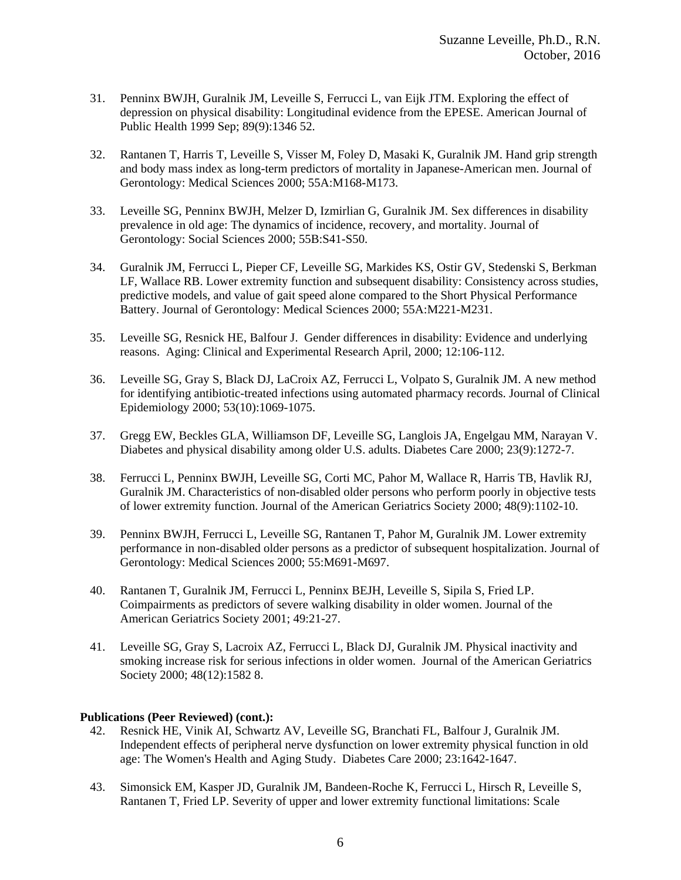- 31. Penninx BWJH, Guralnik JM, Leveille S, Ferrucci L, van Eijk JTM. Exploring the effect of depression on physical disability: Longitudinal evidence from the EPESE. American Journal of Public Health 1999 Sep; 89(9):1346 52.
- 32. Rantanen T, Harris T, Leveille S, Visser M, Foley D, Masaki K, Guralnik JM. Hand grip strength and body mass index as long-term predictors of mortality in Japanese-American men. Journal of Gerontology: Medical Sciences 2000; 55A:M168-M173.
- 33. Leveille SG, Penninx BWJH, Melzer D, Izmirlian G, Guralnik JM. Sex differences in disability prevalence in old age: The dynamics of incidence, recovery, and mortality. Journal of Gerontology: Social Sciences 2000; 55B:S41-S50.
- 34. Guralnik JM, Ferrucci L, Pieper CF, Leveille SG, Markides KS, Ostir GV, Stedenski S, Berkman LF, Wallace RB. Lower extremity function and subsequent disability: Consistency across studies, predictive models, and value of gait speed alone compared to the Short Physical Performance Battery. Journal of Gerontology: Medical Sciences 2000; 55A:M221-M231.
- 35. Leveille SG, Resnick HE, Balfour J. Gender differences in disability: Evidence and underlying reasons. Aging: Clinical and Experimental Research April, 2000; 12:106-112.
- 36. Leveille SG, Gray S, Black DJ, LaCroix AZ, Ferrucci L, Volpato S, Guralnik JM. A new method for identifying antibiotic-treated infections using automated pharmacy records. Journal of Clinical Epidemiology 2000; 53(10):1069-1075.
- 37. Gregg EW, Beckles GLA, Williamson DF, Leveille SG, Langlois JA, Engelgau MM, Narayan V. Diabetes and physical disability among older U.S. adults. Diabetes Care 2000; 23(9):1272-7.
- 38. Ferrucci L, Penninx BWJH, Leveille SG, Corti MC, Pahor M, Wallace R, Harris TB, Havlik RJ, Guralnik JM. Characteristics of non-disabled older persons who perform poorly in objective tests of lower extremity function. Journal of the American Geriatrics Society 2000; 48(9):1102-10.
- 39. Penninx BWJH, Ferrucci L, Leveille SG, Rantanen T, Pahor M, Guralnik JM. Lower extremity performance in non-disabled older persons as a predictor of subsequent hospitalization. Journal of Gerontology: Medical Sciences 2000; 55:M691-M697.
- 40. Rantanen T, Guralnik JM, Ferrucci L, Penninx BEJH, Leveille S, Sipila S, Fried LP. Coimpairments as predictors of severe walking disability in older women. Journal of the American Geriatrics Society 2001; 49:21-27.
- 41. Leveille SG, Gray S, Lacroix AZ, Ferrucci L, Black DJ, Guralnik JM. Physical inactivity and smoking increase risk for serious infections in older women. Journal of the American Geriatrics Society 2000; 48(12):1582 8.

- 42. Resnick HE, Vinik AI, Schwartz AV, Leveille SG, Branchati FL, Balfour J, Guralnik JM. Independent effects of peripheral nerve dysfunction on lower extremity physical function in old age: The Women's Health and Aging Study. Diabetes Care 2000; 23:1642-1647.
- 43. Simonsick EM, Kasper JD, Guralnik JM, Bandeen-Roche K, Ferrucci L, Hirsch R, Leveille S, Rantanen T, Fried LP. Severity of upper and lower extremity functional limitations: Scale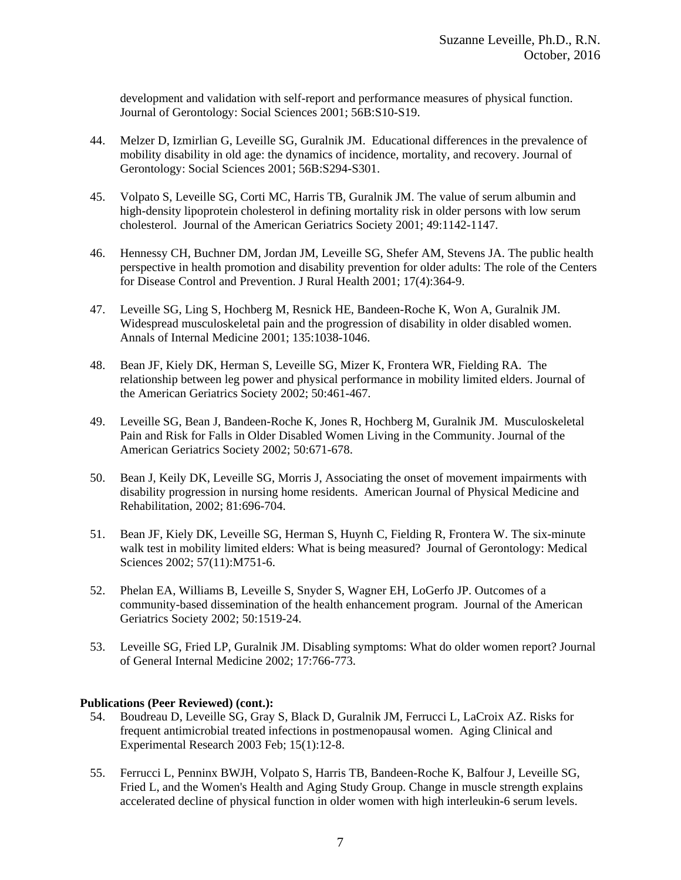development and validation with self-report and performance measures of physical function. Journal of Gerontology: Social Sciences 2001; 56B:S10-S19.

- 44. Melzer D, Izmirlian G, Leveille SG, Guralnik JM. Educational differences in the prevalence of mobility disability in old age: the dynamics of incidence, mortality, and recovery. Journal of Gerontology: Social Sciences 2001; 56B:S294-S301.
- 45. Volpato S, Leveille SG, Corti MC, Harris TB, Guralnik JM. The value of serum albumin and high-density lipoprotein cholesterol in defining mortality risk in older persons with low serum cholesterol. Journal of the American Geriatrics Society 2001; 49:1142-1147.
- 46. Hennessy CH, Buchner DM, Jordan JM, Leveille SG, Shefer AM, Stevens JA. The public health perspective in health promotion and disability prevention for older adults: The role of the Centers for Disease Control and Prevention. J Rural Health 2001; 17(4):364-9.
- 47. Leveille SG, Ling S, Hochberg M, Resnick HE, Bandeen-Roche K, Won A, Guralnik JM. Widespread musculoskeletal pain and the progression of disability in older disabled women. Annals of Internal Medicine 2001; 135:1038-1046.
- 48. Bean JF, Kiely DK, Herman S, Leveille SG, Mizer K, Frontera WR, Fielding RA. The relationship between leg power and physical performance in mobility limited elders. Journal of the American Geriatrics Society 2002; 50:461-467.
- 49. Leveille SG, Bean J, Bandeen-Roche K, Jones R, Hochberg M, Guralnik JM. Musculoskeletal Pain and Risk for Falls in Older Disabled Women Living in the Community. Journal of the American Geriatrics Society 2002; 50:671-678.
- 50. Bean J, Keily DK, Leveille SG, Morris J, Associating the onset of movement impairments with disability progression in nursing home residents. American Journal of Physical Medicine and Rehabilitation, 2002; 81:696-704.
- 51. Bean JF, Kiely DK, Leveille SG, Herman S, Huynh C, Fielding R, Frontera W. The six-minute walk test in mobility limited elders: What is being measured? Journal of Gerontology: Medical Sciences 2002; 57(11):M751-6.
- 52. Phelan EA, Williams B, Leveille S, Snyder S, Wagner EH, LoGerfo JP. Outcomes of a community-based dissemination of the health enhancement program. Journal of the American Geriatrics Society 2002; 50:1519-24.
- 53. Leveille SG, Fried LP, Guralnik JM. Disabling symptoms: What do older women report? Journal of General Internal Medicine 2002; 17:766-773.

- 54. Boudreau D, Leveille SG, Gray S, Black D, Guralnik JM, Ferrucci L, LaCroix AZ. Risks for frequent antimicrobial treated infections in postmenopausal women. Aging Clinical and Experimental Research 2003 Feb; 15(1):12-8.
- 55. Ferrucci L, Penninx BWJH, Volpato S, Harris TB, Bandeen-Roche K, Balfour J, Leveille SG, Fried L, and the Women's Health and Aging Study Group. Change in muscle strength explains accelerated decline of physical function in older women with high interleukin-6 serum levels.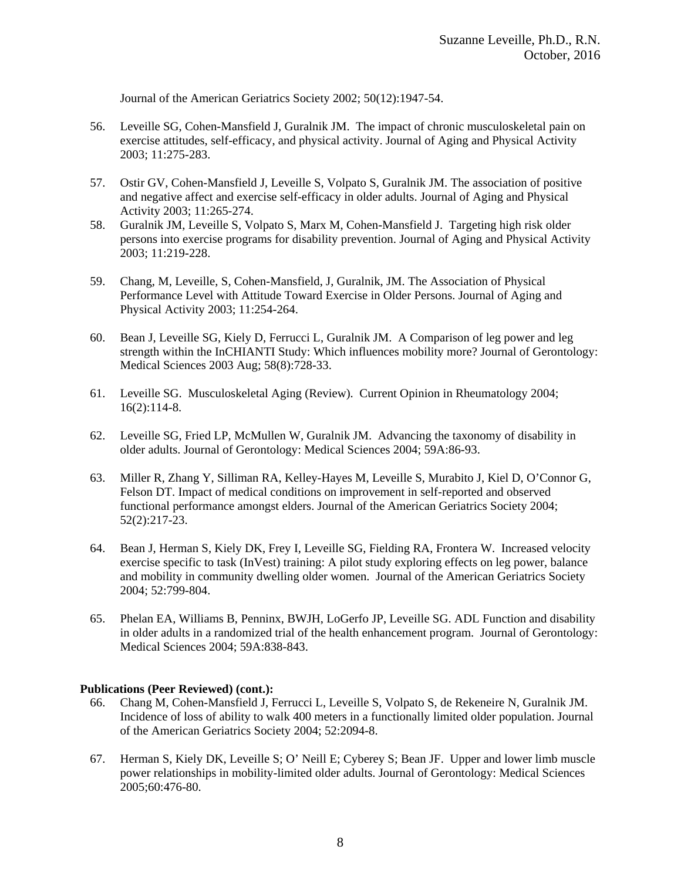Journal of the American Geriatrics Society 2002; 50(12):1947-54.

- 56. Leveille SG, Cohen-Mansfield J, Guralnik JM. The impact of chronic musculoskeletal pain on exercise attitudes, self-efficacy, and physical activity. Journal of Aging and Physical Activity 2003; 11:275-283.
- 57. Ostir GV, Cohen-Mansfield J, Leveille S, Volpato S, Guralnik JM. The association of positive and negative affect and exercise self-efficacy in older adults. Journal of Aging and Physical Activity 2003; 11:265-274.
- 58. Guralnik JM, Leveille S, Volpato S, Marx M, Cohen-Mansfield J. Targeting high risk older persons into exercise programs for disability prevention. Journal of Aging and Physical Activity 2003; 11:219-228.
- 59. Chang, M, Leveille, S, Cohen-Mansfield, J, Guralnik, JM. The Association of Physical Performance Level with Attitude Toward Exercise in Older Persons. Journal of Aging and Physical Activity 2003; 11:254-264.
- 60. Bean J, Leveille SG, Kiely D, Ferrucci L, Guralnik JM. A Comparison of leg power and leg strength within the InCHIANTI Study: Which influences mobility more? Journal of Gerontology: Medical Sciences 2003 Aug; 58(8):728-33.
- 61. Leveille SG. Musculoskeletal Aging (Review). Current Opinion in Rheumatology 2004; 16(2):114-8.
- 62. Leveille SG, Fried LP, McMullen W, Guralnik JM. Advancing the taxonomy of disability in older adults. Journal of Gerontology: Medical Sciences 2004; 59A:86-93.
- 63. Miller R, Zhang Y, Silliman RA, Kelley-Hayes M, Leveille S, Murabito J, Kiel D, O'Connor G, Felson DT. Impact of medical conditions on improvement in self-reported and observed functional performance amongst elders. Journal of the American Geriatrics Society 2004; 52(2):217-23.
- 64. Bean J, Herman S, Kiely DK, Frey I, Leveille SG, Fielding RA, Frontera W. Increased velocity exercise specific to task (InVest) training: A pilot study exploring effects on leg power, balance and mobility in community dwelling older women. Journal of the American Geriatrics Society 2004; 52:799-804.
- 65. Phelan EA, Williams B, Penninx, BWJH, LoGerfo JP, Leveille SG. ADL Function and disability in older adults in a randomized trial of the health enhancement program. Journal of Gerontology: Medical Sciences 2004; 59A:838-843.

- 66. Chang M, Cohen-Mansfield J, Ferrucci L, Leveille S, Volpato S, de Rekeneire N, Guralnik JM. Incidence of loss of ability to walk 400 meters in a functionally limited older population. Journal of the American Geriatrics Society 2004; 52:2094-8.
- 67. Herman S, Kiely DK, Leveille S; O' Neill E; Cyberey S; Bean JF. Upper and lower limb muscle power relationships in mobility-limited older adults. Journal of Gerontology: Medical Sciences 2005;60:476-80.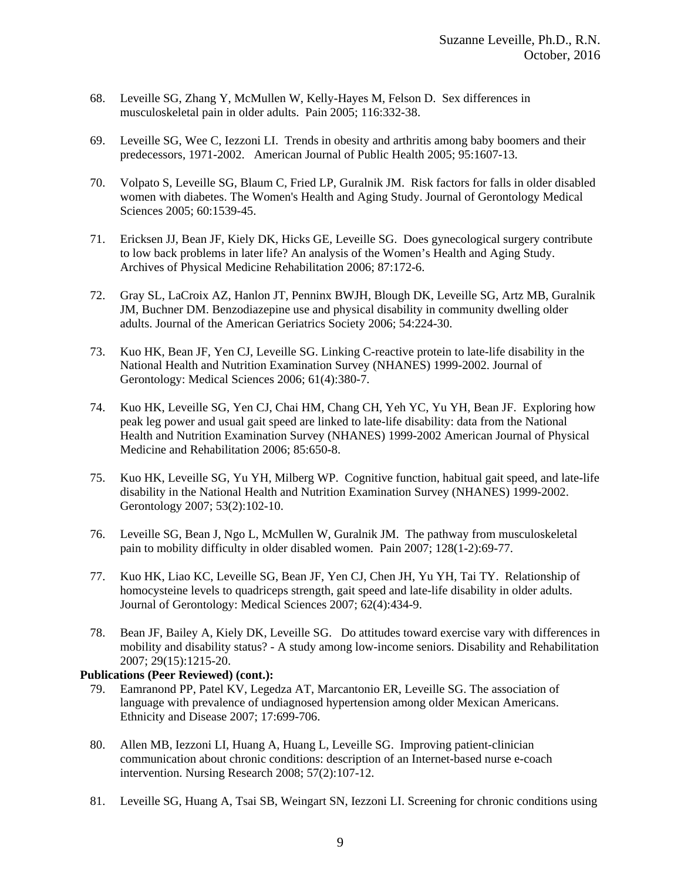- 68. Leveille SG, Zhang Y, McMullen W, Kelly-Hayes M, Felson D. Sex differences in musculoskeletal pain in older adults. Pain 2005; 116:332-38.
- 69. Leveille SG, Wee C, Iezzoni LI. Trends in obesity and arthritis among baby boomers and their predecessors, 1971-2002. American Journal of Public Health 2005; 95:1607-13.
- 70. Volpato S, Leveille SG, Blaum C, Fried LP, Guralnik JM. Risk factors for falls in older disabled women with diabetes. The Women's Health and Aging Study. Journal of Gerontology Medical Sciences 2005; 60:1539-45.
- 71. Ericksen JJ, Bean JF, Kiely DK, Hicks GE, Leveille SG. Does gynecological surgery contribute to low back problems in later life? An analysis of the Women's Health and Aging Study. Archives of Physical Medicine Rehabilitation 2006; 87:172-6.
- 72. Gray SL, LaCroix AZ, Hanlon JT, Penninx BWJH, Blough DK, Leveille SG, Artz MB, Guralnik JM, Buchner DM. Benzodiazepine use and physical disability in community dwelling older adults. Journal of the American Geriatrics Society 2006; 54:224-30.
- 73. Kuo HK, Bean JF, Yen CJ, Leveille SG. Linking C-reactive protein to late-life disability in the National Health and Nutrition Examination Survey (NHANES) 1999-2002. Journal of Gerontology: Medical Sciences 2006; 61(4):380-7.
- 74. Kuo HK, Leveille SG, Yen CJ, Chai HM, Chang CH, Yeh YC, Yu YH, Bean JF. Exploring how peak leg power and usual gait speed are linked to late-life disability: data from the National Health and Nutrition Examination Survey (NHANES) 1999-2002 American Journal of Physical Medicine and Rehabilitation 2006; 85:650-8.
- 75. Kuo HK, Leveille SG, Yu YH, Milberg WP. Cognitive function, habitual gait speed, and late-life disability in the National Health and Nutrition Examination Survey (NHANES) 1999-2002. Gerontology 2007; 53(2):102-10.
- 76. Leveille SG, Bean J, Ngo L, McMullen W, Guralnik JM. The pathway from musculoskeletal pain to mobility difficulty in older disabled women. Pain 2007; 128(1-2):69-77.
- 77. Kuo HK, Liao KC, Leveille SG, Bean JF, Yen CJ, Chen JH, Yu YH, Tai TY. Relationship of homocysteine levels to quadriceps strength, gait speed and late-life disability in older adults. Journal of Gerontology: Medical Sciences 2007; 62(4):434-9.
- 78. Bean JF, Bailey A, Kiely DK, Leveille SG. Do attitudes toward exercise vary with differences in mobility and disability status? - A study among low-income seniors. Disability and Rehabilitation 2007; 29(15):1215-20.

- 79. Eamranond PP, Patel KV, Legedza AT, Marcantonio ER, Leveille SG. The association of language with prevalence of undiagnosed hypertension among older Mexican Americans. Ethnicity and Disease 2007; 17:699-706.
- 80. Allen MB, Iezzoni LI, Huang A, Huang L, Leveille SG. Improving patient-clinician communication about chronic conditions: description of an Internet-based nurse e-coach intervention. Nursing Research 2008; 57(2):107-12.
- 81. Leveille SG, Huang A, Tsai SB, Weingart SN, Iezzoni LI. Screening for chronic conditions using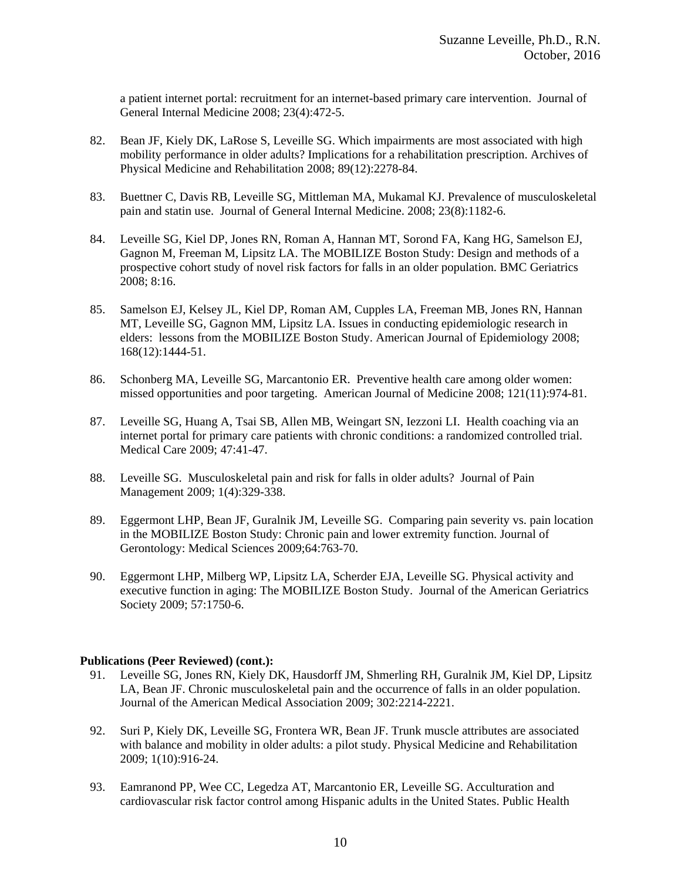a patient internet portal: recruitment for an internet-based primary care intervention. Journal of General Internal Medicine 2008; 23(4):472-5.

- 82. Bean JF, Kiely DK, LaRose S, Leveille SG. Which impairments are most associated with high mobility performance in older adults? Implications for a rehabilitation prescription. Archives of Physical Medicine and Rehabilitation 2008; 89(12):2278-84.
- 83. Buettner C, Davis RB, Leveille SG, Mittleman MA, Mukamal KJ. Prevalence of musculoskeletal pain and statin use. Journal of General Internal Medicine. 2008; 23(8):1182-6.
- 84. Leveille SG, Kiel DP, Jones RN, Roman A, Hannan MT, Sorond FA, Kang HG, Samelson EJ, Gagnon M, Freeman M, Lipsitz LA. The MOBILIZE Boston Study: Design and methods of a prospective cohort study of novel risk factors for falls in an older population. BMC Geriatrics 2008; 8:16.
- 85. Samelson EJ, Kelsey JL, Kiel DP, Roman AM, Cupples LA, Freeman MB, Jones RN, Hannan MT, Leveille SG, Gagnon MM, Lipsitz LA. Issues in conducting epidemiologic research in elders: lessons from the MOBILIZE Boston Study. American Journal of Epidemiology 2008; 168(12):1444-51.
- 86. Schonberg MA, Leveille SG, Marcantonio ER. Preventive health care among older women: missed opportunities and poor targeting. American Journal of Medicine 2008; 121(11):974-81.
- 87. Leveille SG, Huang A, Tsai SB, Allen MB, Weingart SN, Iezzoni LI. Health coaching via an internet portal for primary care patients with chronic conditions: a randomized controlled trial. Medical Care 2009; 47:41-47.
- 88. Leveille SG. Musculoskeletal pain and risk for falls in older adults? Journal of Pain Management 2009; 1(4):329-338.
- 89. Eggermont LHP, Bean JF, Guralnik JM, Leveille SG. Comparing pain severity vs. pain location in the MOBILIZE Boston Study: Chronic pain and lower extremity function. Journal of Gerontology: Medical Sciences 2009;64:763-70.
- 90. Eggermont LHP, Milberg WP, Lipsitz LA, Scherder EJA, Leveille SG. Physical activity and executive function in aging: The MOBILIZE Boston Study. Journal of the American Geriatrics Society 2009; 57:1750-6.

- 91. Leveille SG, Jones RN, Kiely DK, Hausdorff JM, Shmerling RH, Guralnik JM, Kiel DP, Lipsitz LA, Bean JF. Chronic musculoskeletal pain and the occurrence of falls in an older population. Journal of the American Medical Association 2009; 302:2214-2221.
- 92. Suri P, Kiely DK, Leveille SG, Frontera WR, Bean JF. Trunk muscle attributes are associated with balance and mobility in older adults: a pilot study. Physical Medicine and Rehabilitation 2009; 1(10):916-24.
- 93. Eamranond PP, Wee CC, Legedza AT, Marcantonio ER, Leveille SG. Acculturation and cardiovascular risk factor control among Hispanic adults in the United States. Public Health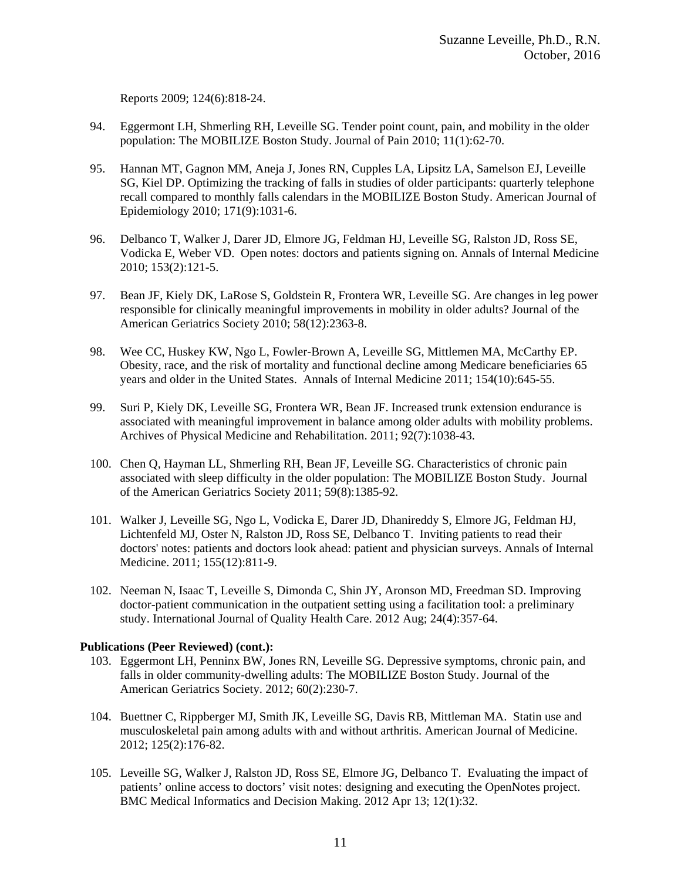Reports 2009; 124(6):818-24.

- 94. Eggermont LH, Shmerling RH, Leveille SG. Tender point count, pain, and mobility in the older population: The MOBILIZE Boston Study. Journal of Pain 2010; 11(1):62-70.
- 95. Hannan MT, Gagnon MM, Aneja J, Jones RN, Cupples LA, Lipsitz LA, Samelson EJ, Leveille SG, Kiel DP. Optimizing the tracking of falls in studies of older participants: quarterly telephone recall compared to monthly falls calendars in the MOBILIZE Boston Study. American Journal of Epidemiology 2010; 171(9):1031-6.
- 96. Delbanco T, Walker J, Darer JD, Elmore JG, Feldman HJ, Leveille SG, Ralston JD, Ross SE, Vodicka E, Weber VD. Open notes: doctors and patients signing on. Annals of Internal Medicine 2010; 153(2):121-5.
- 97. Bean JF, Kiely DK, LaRose S, Goldstein R, Frontera WR, Leveille SG. Are changes in leg power responsible for clinically meaningful improvements in mobility in older adults? Journal of the American Geriatrics Society 2010; 58(12):2363-8.
- 98. Wee CC, Huskey KW, Ngo L, Fowler-Brown A, Leveille SG, Mittlemen MA, McCarthy EP. Obesity, race, and the risk of mortality and functional decline among Medicare beneficiaries 65 years and older in the United States. Annals of Internal Medicine 2011; 154(10):645-55.
- 99. Suri P, Kiely DK, Leveille SG, Frontera WR, Bean JF. Increased trunk extension endurance is associated with meaningful improvement in balance among older adults with mobility problems. Archives of Physical Medicine and Rehabilitation. 2011; 92(7):1038-43.
- 100. Chen Q, Hayman LL, Shmerling RH, Bean JF, Leveille SG. Characteristics of chronic pain associated with sleep difficulty in the older population: The MOBILIZE Boston Study. Journal of the American Geriatrics Society 2011; 59(8):1385-92.
- 101. Walker J, Leveille SG, Ngo L, Vodicka E, Darer JD, Dhanireddy S, Elmore JG, Feldman HJ, Lichtenfeld MJ, Oster N, Ralston JD, Ross SE, Delbanco T. Inviting patients to read their doctors' notes: patients and doctors look ahead: patient and physician surveys. Annals of Internal Medicine. 2011; 155(12):811-9.
- 102. Neeman N, Isaac T, Leveille S, Dimonda C, Shin JY, Aronson MD, Freedman SD. Improving doctor-patient communication in the outpatient setting using a facilitation tool: a preliminary study. International Journal of Quality Health Care. 2012 Aug; 24(4):357-64.

- 103. Eggermont LH, Penninx BW, Jones RN, Leveille SG. Depressive symptoms, chronic pain, and falls in older community-dwelling adults: The MOBILIZE Boston Study. Journal of the American Geriatrics Society. 2012; 60(2):230-7.
- 104. Buettner C, Rippberger MJ, Smith JK, Leveille SG, Davis RB, Mittleman MA. Statin use and musculoskeletal pain among adults with and without arthritis. American Journal of Medicine. 2012; 125(2):176-82.
- 105. Leveille SG, Walker J, Ralston JD, Ross SE, Elmore JG, Delbanco T. Evaluating the impact of patients' online access to doctors' visit notes: designing and executing the OpenNotes project. BMC Medical Informatics and Decision Making. 2012 Apr 13; 12(1):32.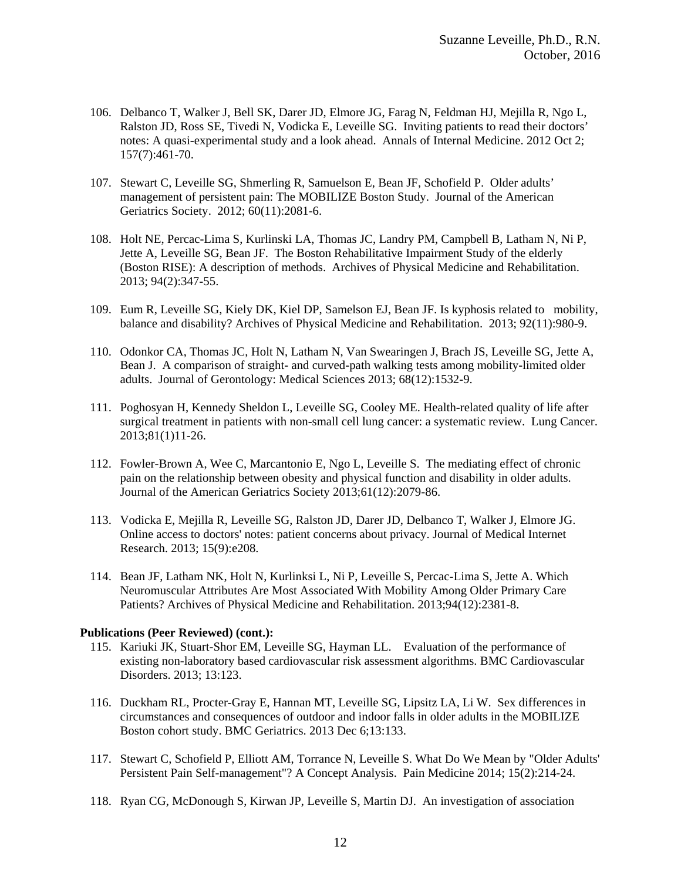- 106. Delbanco T, Walker J, Bell SK, Darer JD, Elmore JG, Farag N, Feldman HJ, Mejilla R, Ngo L, Ralston JD, Ross SE, Tivedi N, Vodicka E, Leveille SG. Inviting patients to read their doctors' notes: A quasi-experimental study and a look ahead. Annals of Internal Medicine. 2012 Oct 2; 157(7):461-70.
- 107. Stewart C, Leveille SG, Shmerling R, Samuelson E, Bean JF, Schofield P. Older adults' management of persistent pain: The MOBILIZE Boston Study. Journal of the American Geriatrics Society. 2012; 60(11):2081-6.
- 108. Holt NE, Percac-Lima S, Kurlinski LA, Thomas JC, Landry PM, Campbell B, Latham N, Ni P, Jette A, Leveille SG, Bean JF. The Boston Rehabilitative Impairment Study of the elderly (Boston RISE): A description of methods. Archives of Physical Medicine and Rehabilitation. 2013; 94(2):347-55.
- 109. Eum R, Leveille SG, Kiely DK, Kiel DP, Samelson EJ, Bean JF. Is kyphosis related to mobility, balance and disability? Archives of Physical Medicine and Rehabilitation. 2013; 92(11):980-9.
- 110. Odonkor CA, Thomas JC, Holt N, Latham N, Van Swearingen J, Brach JS, Leveille SG, Jette A, Bean J. A comparison of straight- and curved-path walking tests among mobility-limited older adults. Journal of Gerontology: Medical Sciences 2013; 68(12):1532-9.
- 111. Poghosyan H, Kennedy Sheldon L, Leveille SG, Cooley ME. Health-related quality of life after surgical treatment in patients with non-small cell lung cancer: a systematic review. Lung Cancer. 2013;81(1)11-26.
- 112. Fowler-Brown A, Wee C, Marcantonio E, Ngo L, Leveille S. The mediating effect of chronic pain on the relationship between obesity and physical function and disability in older adults. Journal of the American Geriatrics Society 2013;61(12):2079-86.
- 113. Vodicka E, Mejilla R, Leveille SG, Ralston JD, Darer JD, Delbanco T, Walker J, Elmore JG. Online access to doctors' notes: patient concerns about privacy. Journal of Medical Internet Research. 2013; 15(9):e208.
- 114. Bean JF, Latham NK, Holt N, Kurlinksi L, Ni P, Leveille S, Percac-Lima S, Jette A. Which Neuromuscular Attributes Are Most Associated With Mobility Among Older Primary Care Patients? Archives of Physical Medicine and Rehabilitation. 2013;94(12):2381-8.

- 115. Kariuki JK, Stuart-Shor EM, Leveille SG, Hayman LL. Evaluation of the performance of existing non-laboratory based cardiovascular risk assessment algorithms. BMC Cardiovascular Disorders. 2013; 13:123.
- 116. Duckham RL, Procter-Gray E, Hannan MT, Leveille SG, Lipsitz LA, Li W. Sex differences in circumstances and consequences of outdoor and indoor falls in older adults in the MOBILIZE Boston cohort study. BMC Geriatrics. 2013 Dec 6;13:133.
- 117. Stewart C, Schofield P, Elliott AM, Torrance N, Leveille S. What Do We Mean by "Older Adults' Persistent Pain Self-management"? A Concept Analysis. Pain Medicine 2014; 15(2):214-24.
- 118. Ryan CG, McDonough S, Kirwan JP, Leveille S, Martin DJ. An investigation of association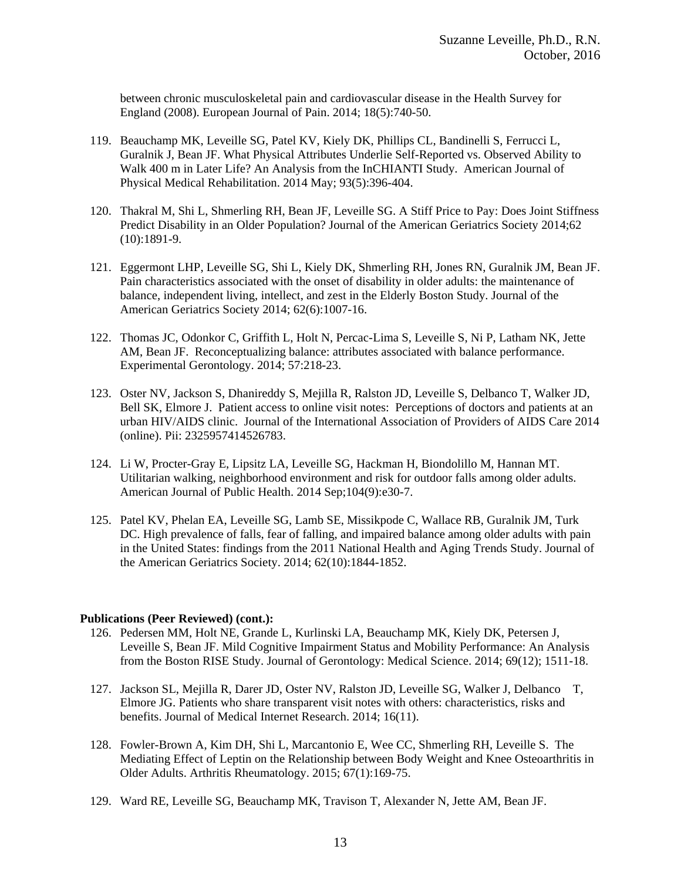between chronic musculoskeletal pain and cardiovascular disease in the Health Survey for England (2008). European Journal of Pain. 2014; 18(5):740-50.

- 119. Beauchamp MK, Leveille SG, Patel KV, Kiely DK, Phillips CL, Bandinelli S, Ferrucci L, Guralnik J, Bean JF. What Physical Attributes Underlie Self-Reported vs. Observed Ability to Walk 400 m in Later Life? An Analysis from the InCHIANTI Study. American Journal of Physical Medical Rehabilitation. 2014 May; 93(5):396-404.
- 120. Thakral M, Shi L, Shmerling RH, Bean JF, Leveille SG. A Stiff Price to Pay: Does Joint Stiffness Predict Disability in an Older Population? Journal of the American Geriatrics Society 2014;62 (10):1891-9.
- 121. Eggermont LHP, Leveille SG, Shi L, Kiely DK, Shmerling RH, Jones RN, Guralnik JM, Bean JF. Pain characteristics associated with the onset of disability in older adults: the maintenance of balance, independent living, intellect, and zest in the Elderly Boston Study. Journal of the American Geriatrics Society 2014; 62(6):1007-16.
- 122. Thomas JC, Odonkor C, Griffith L, Holt N, Percac-Lima S, Leveille S, Ni P, Latham NK, Jette AM, Bean JF. Reconceptualizing balance: attributes associated with balance performance. Experimental Gerontology. 2014; 57:218-23.
- 123. Oster NV, Jackson S, Dhanireddy S, Mejilla R, Ralston JD, Leveille S, Delbanco T, Walker JD, Bell SK, Elmore J. Patient access to online visit notes: Perceptions of doctors and patients at an urban HIV/AIDS clinic. Journal of the International Association of Providers of AIDS Care 2014 (online). Pii: 2325957414526783.
- 124. Li W, Procter-Gray E, Lipsitz LA, Leveille SG, Hackman H, Biondolillo M, Hannan MT. Utilitarian walking, neighborhood environment and risk for outdoor falls among older adults. American Journal of Public Health. 2014 Sep;104(9):e30-7.
- 125. Patel KV, Phelan EA, Leveille SG, Lamb SE, Missikpode C, Wallace RB, Guralnik JM, Turk DC. High prevalence of falls, fear of falling, and impaired balance among older adults with pain in the United States: findings from the 2011 National Health and Aging Trends Study. Journal of the American Geriatrics Society. 2014; 62(10):1844-1852.

- 126. Pedersen MM, Holt NE, Grande L, Kurlinski LA, Beauchamp MK, Kiely DK, Petersen J, Leveille S, Bean JF. Mild Cognitive Impairment Status and Mobility Performance: An Analysis from the Boston RISE Study. Journal of Gerontology: Medical Science. 2014; 69(12); 1511-18.
- 127. Jackson SL, Mejilla R, Darer JD, Oster NV, Ralston JD, Leveille SG, Walker J, Delbanco T, Elmore JG. Patients who share transparent visit notes with others: characteristics, risks and benefits. Journal of Medical Internet Research. 2014; 16(11).
- 128. Fowler-Brown A, Kim DH, Shi L, Marcantonio E, Wee CC, Shmerling RH, Leveille S. The Mediating Effect of Leptin on the Relationship between Body Weight and Knee Osteoarthritis in Older Adults. Arthritis Rheumatology. 2015; 67(1):169-75.
- 129. Ward RE, Leveille SG, Beauchamp MK, Travison T, Alexander N, Jette AM, Bean JF.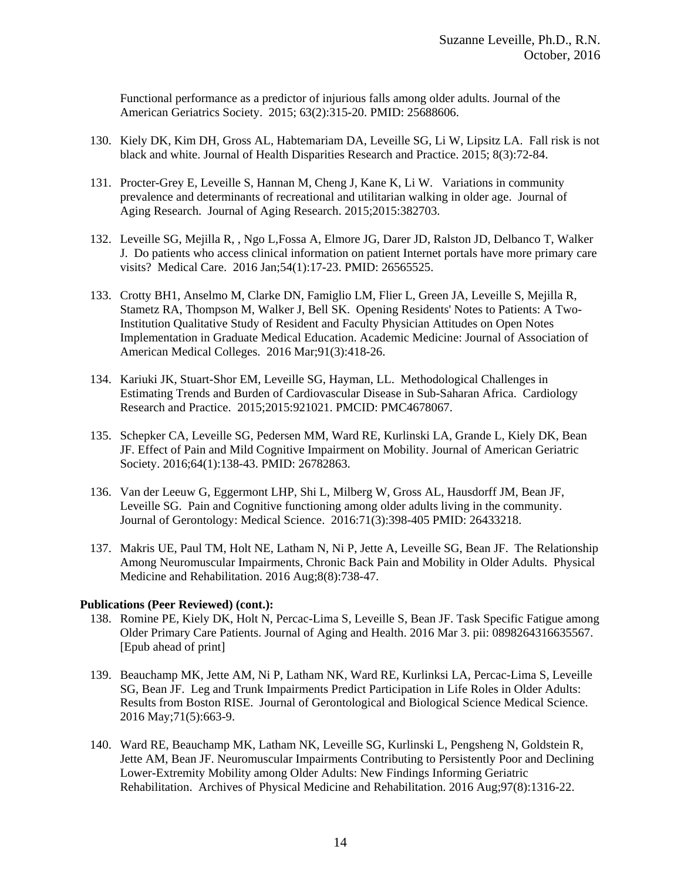Functional performance as a predictor of injurious falls among older adults. Journal of the American Geriatrics Society. 2015; 63(2):315-20. PMID: 25688606.

- 130. Kiely DK, Kim DH, Gross AL, Habtemariam DA, Leveille SG, Li W, Lipsitz LA. Fall risk is not black and white. Journal of Health Disparities Research and Practice. 2015; 8(3):72-84.
- 131. Procter-Grey E, Leveille S, Hannan M, Cheng J, Kane K, Li W. Variations in community prevalence and determinants of recreational and utilitarian walking in older age. Journal of Aging Research. Journal of Aging Research. 2015;2015:382703.
- 132. Leveille SG, Mejilla R, , Ngo L,Fossa A, Elmore JG, Darer JD, Ralston JD, Delbanco T, Walker J. Do patients who access clinical information on patient Internet portals have more primary care visits? Medical Care. 2016 Jan;54(1):17-23. PMID: 26565525.
- 133. Crotty BH1, Anselmo M, Clarke DN, Famiglio LM, Flier L, Green JA, Leveille S, Mejilla R, Stametz RA, Thompson M, Walker J, Bell SK. Opening Residents' Notes to Patients: A Two-Institution Qualitative Study of Resident and Faculty Physician Attitudes on Open Notes Implementation in Graduate Medical Education. Academic Medicine: Journal of Association of American Medical Colleges. 2016 Mar;91(3):418-26.
- 134. Kariuki JK, Stuart-Shor EM, Leveille SG, Hayman, LL. Methodological Challenges in Estimating Trends and Burden of Cardiovascular Disease in Sub-Saharan Africa. Cardiology Research and Practice. 2015;2015:921021. PMCID: PMC4678067.
- 135. Schepker CA, Leveille SG, Pedersen MM, Ward RE, Kurlinski LA, Grande L, Kiely DK, Bean JF. Effect of Pain and Mild Cognitive Impairment on Mobility. Journal of American Geriatric Society. 2016;64(1):138-43. PMID: 26782863.
- 136. Van der Leeuw G, Eggermont LHP, Shi L, Milberg W, Gross AL, Hausdorff JM, Bean JF, Leveille SG. Pain and Cognitive functioning among older adults living in the community. Journal of Gerontology: Medical Science. 2016:71(3):398-405 PMID: 26433218.
- 137. Makris UE, Paul TM, Holt NE, Latham N, Ni P, Jette A, Leveille SG, Bean JF. The Relationship Among Neuromuscular Impairments, Chronic Back Pain and Mobility in Older Adults. Physical Medicine and Rehabilitation. 2016 Aug;8(8):738-47.

- 138. Romine PE, Kiely DK, Holt N, Percac-Lima S, Leveille S, Bean JF. Task Specific Fatigue among Older Primary Care Patients. Journal of Aging and Health. 2016 Mar 3. pii: 0898264316635567. [Epub ahead of print]
- 139. Beauchamp MK, Jette AM, Ni P, Latham NK, Ward RE, Kurlinksi LA, Percac-Lima S, Leveille SG, Bean JF. Leg and Trunk Impairments Predict Participation in Life Roles in Older Adults: Results from Boston RISE. Journal of Gerontological and Biological Science Medical Science. 2016 May;71(5):663-9.
- 140. Ward RE, Beauchamp MK, Latham NK, Leveille SG, Kurlinski L, Pengsheng N, Goldstein R, Jette AM, Bean JF. Neuromuscular Impairments Contributing to Persistently Poor and Declining Lower-Extremity Mobility among Older Adults: New Findings Informing Geriatric Rehabilitation. Archives of Physical Medicine and Rehabilitation. 2016 Aug;97(8):1316-22.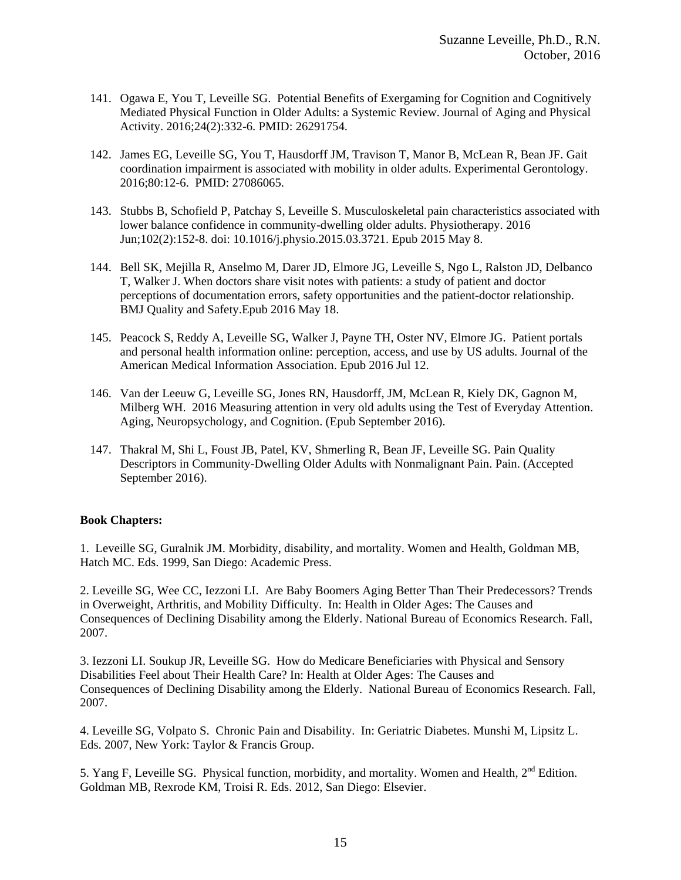- 141. Ogawa E, You T, Leveille SG. Potential Benefits of Exergaming for Cognition and Cognitively Mediated Physical Function in Older Adults: a Systemic Review. Journal of Aging and Physical Activity. 2016;24(2):332-6. PMID: 26291754.
- 142. James EG, Leveille SG, You T, Hausdorff JM, Travison T, Manor B, McLean R, Bean JF. Gait coordination impairment is associated with mobility in older adults. Experimental Gerontology. 2016;80:12-6. PMID: 27086065.
- 143. Stubbs B, Schofield P, Patchay S, Leveille S. Musculoskeletal pain characteristics associated with lower balance confidence in community-dwelling older adults. Physiotherapy. 2016 Jun;102(2):152-8. doi: 10.1016/j.physio.2015.03.3721. Epub 2015 May 8.
- 144. Bell SK, Mejilla R, Anselmo M, Darer JD, Elmore JG, Leveille S, Ngo L, Ralston JD, Delbanco T, Walker J. When doctors share visit notes with patients: a study of patient and doctor perceptions of documentation errors, safety opportunities and the patient-doctor relationship. BMJ Quality and Safety.Epub 2016 May 18.
- 145. Peacock S, Reddy A, Leveille SG, Walker J, Payne TH, Oster NV, Elmore JG. Patient portals and personal health information online: perception, access, and use by US adults. Journal of the American Medical Information Association. Epub 2016 Jul 12.
- 146. Van der Leeuw G, Leveille SG, Jones RN, Hausdorff, JM, McLean R, Kiely DK, Gagnon M, Milberg WH. 2016 Measuring attention in very old adults using the Test of Everyday Attention. Aging, Neuropsychology, and Cognition. (Epub September 2016).
- 147. Thakral M, Shi L, Foust JB, Patel, KV, Shmerling R, Bean JF, Leveille SG. Pain Quality Descriptors in Community-Dwelling Older Adults with Nonmalignant Pain. Pain. (Accepted September 2016).

# **Book Chapters:**

1. Leveille SG, Guralnik JM. Morbidity, disability, and mortality. Women and Health, Goldman MB, Hatch MC. Eds. 1999, San Diego: Academic Press.

2. Leveille SG, Wee CC, Iezzoni LI. Are Baby Boomers Aging Better Than Their Predecessors? Trends in Overweight, Arthritis, and Mobility Difficulty. In: Health in Older Ages: The Causes and Consequences of Declining Disability among the Elderly. National Bureau of Economics Research. Fall, 2007.

3. Iezzoni LI. Soukup JR, Leveille SG. How do Medicare Beneficiaries with Physical and Sensory Disabilities Feel about Their Health Care? In: Health at Older Ages: The Causes and Consequences of Declining Disability among the Elderly. National Bureau of Economics Research. Fall, 2007.

4. Leveille SG, Volpato S. Chronic Pain and Disability. In: Geriatric Diabetes. Munshi M, Lipsitz L. Eds. 2007, New York: Taylor & Francis Group.

5. Yang F, Leveille SG. Physical function, morbidity, and mortality. Women and Health,  $2<sup>nd</sup>$  Edition. Goldman MB, Rexrode KM, Troisi R. Eds. 2012, San Diego: Elsevier.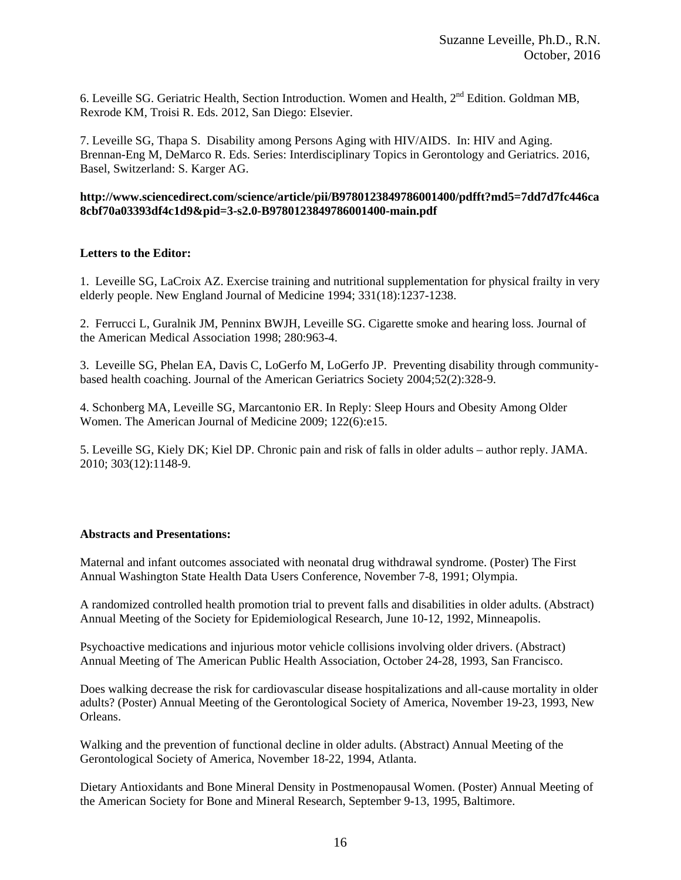6. Leveille SG. Geriatric Health, Section Introduction. Women and Health, 2<sup>nd</sup> Edition. Goldman MB, Rexrode KM, Troisi R. Eds. 2012, San Diego: Elsevier.

7. Leveille SG, Thapa S. Disability among Persons Aging with HIV/AIDS. In: HIV and Aging. Brennan-Eng M, DeMarco R. Eds. Series: Interdisciplinary Topics in Gerontology and Geriatrics. 2016, Basel, Switzerland: S. Karger AG.

### **http://www.sciencedirect.com/science/article/pii/B9780123849786001400/pdfft?md5=7dd7d7fc446ca 8cbf70a03393df4c1d9&pid=3-s2.0-B9780123849786001400-main.pdf**

## **Letters to the Editor:**

1. Leveille SG, LaCroix AZ. Exercise training and nutritional supplementation for physical frailty in very elderly people. New England Journal of Medicine 1994; 331(18):1237-1238.

2. Ferrucci L, Guralnik JM, Penninx BWJH, Leveille SG. Cigarette smoke and hearing loss. Journal of the American Medical Association 1998; 280:963-4.

3. Leveille SG, Phelan EA, Davis C, LoGerfo M, LoGerfo JP. Preventing disability through communitybased health coaching. Journal of the American Geriatrics Society 2004;52(2):328-9.

4. Schonberg MA, Leveille SG, Marcantonio ER. In Reply: Sleep Hours and Obesity Among Older Women. The American Journal of Medicine 2009; 122(6):e15.

5. Leveille SG, Kiely DK; Kiel DP. Chronic pain and risk of falls in older adults – author reply. JAMA. 2010; 303(12):1148-9.

### **Abstracts and Presentations:**

Maternal and infant outcomes associated with neonatal drug withdrawal syndrome. (Poster) The First Annual Washington State Health Data Users Conference, November 7-8, 1991; Olympia.

A randomized controlled health promotion trial to prevent falls and disabilities in older adults. (Abstract) Annual Meeting of the Society for Epidemiological Research, June 10-12, 1992, Minneapolis.

Psychoactive medications and injurious motor vehicle collisions involving older drivers. (Abstract) Annual Meeting of The American Public Health Association, October 24-28, 1993, San Francisco.

Does walking decrease the risk for cardiovascular disease hospitalizations and all-cause mortality in older adults? (Poster) Annual Meeting of the Gerontological Society of America, November 19-23, 1993, New Orleans.

Walking and the prevention of functional decline in older adults. (Abstract) Annual Meeting of the Gerontological Society of America, November 18-22, 1994, Atlanta.

Dietary Antioxidants and Bone Mineral Density in Postmenopausal Women. (Poster) Annual Meeting of the American Society for Bone and Mineral Research, September 9-13, 1995, Baltimore.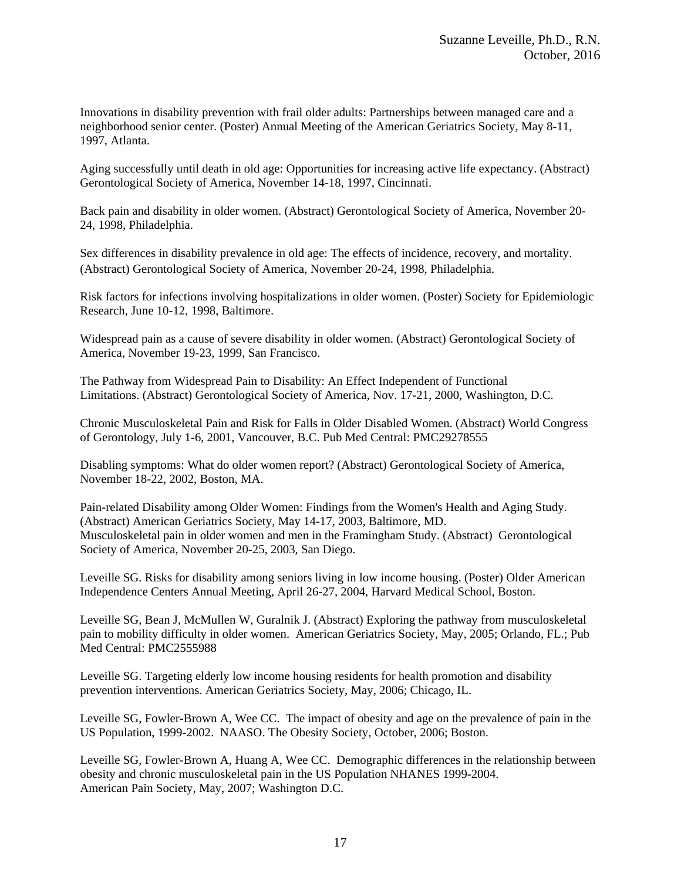Innovations in disability prevention with frail older adults: Partnerships between managed care and a neighborhood senior center. (Poster) Annual Meeting of the American Geriatrics Society, May 8-11, 1997, Atlanta.

Aging successfully until death in old age: Opportunities for increasing active life expectancy. (Abstract) Gerontological Society of America, November 14-18, 1997, Cincinnati.

Back pain and disability in older women. (Abstract) Gerontological Society of America, November 20- 24, 1998, Philadelphia.

Sex differences in disability prevalence in old age: The effects of incidence, recovery, and mortality. (Abstract) Gerontological Society of America, November 20-24, 1998, Philadelphia.

Risk factors for infections involving hospitalizations in older women. (Poster) Society for Epidemiologic Research, June 10-12, 1998, Baltimore.

Widespread pain as a cause of severe disability in older women. (Abstract) Gerontological Society of America, November 19-23, 1999, San Francisco.

The Pathway from Widespread Pain to Disability: An Effect Independent of Functional Limitations. (Abstract) Gerontological Society of America, Nov. 17-21, 2000, Washington, D.C.

Chronic Musculoskeletal Pain and Risk for Falls in Older Disabled Women. (Abstract) World Congress of Gerontology, July 1-6, 2001, Vancouver, B.C. Pub Med Central: PMC29278555

Disabling symptoms: What do older women report? (Abstract) Gerontological Society of America, November 18-22, 2002, Boston, MA.

Pain-related Disability among Older Women: Findings from the Women's Health and Aging Study. (Abstract) American Geriatrics Society, May 14-17, 2003, Baltimore, MD. Musculoskeletal pain in older women and men in the Framingham Study. (Abstract) Gerontological Society of America, November 20-25, 2003, San Diego.

Leveille SG. Risks for disability among seniors living in low income housing. (Poster) Older American Independence Centers Annual Meeting, April 26-27, 2004, Harvard Medical School, Boston.

Leveille SG, Bean J, McMullen W, Guralnik J. (Abstract) Exploring the pathway from musculoskeletal pain to mobility difficulty in older women. American Geriatrics Society, May, 2005; Orlando, FL.; Pub Med Central: PMC2555988

Leveille SG. Targeting elderly low income housing residents for health promotion and disability prevention interventions. American Geriatrics Society, May, 2006; Chicago, IL.

Leveille SG, Fowler-Brown A, Wee CC. The impact of obesity and age on the prevalence of pain in the US Population, 1999-2002. NAASO. The Obesity Society, October, 2006; Boston.

Leveille SG, Fowler-Brown A, Huang A, Wee CC. Demographic differences in the relationship between obesity and chronic musculoskeletal pain in the US Population NHANES 1999-2004. American Pain Society, May, 2007; Washington D.C.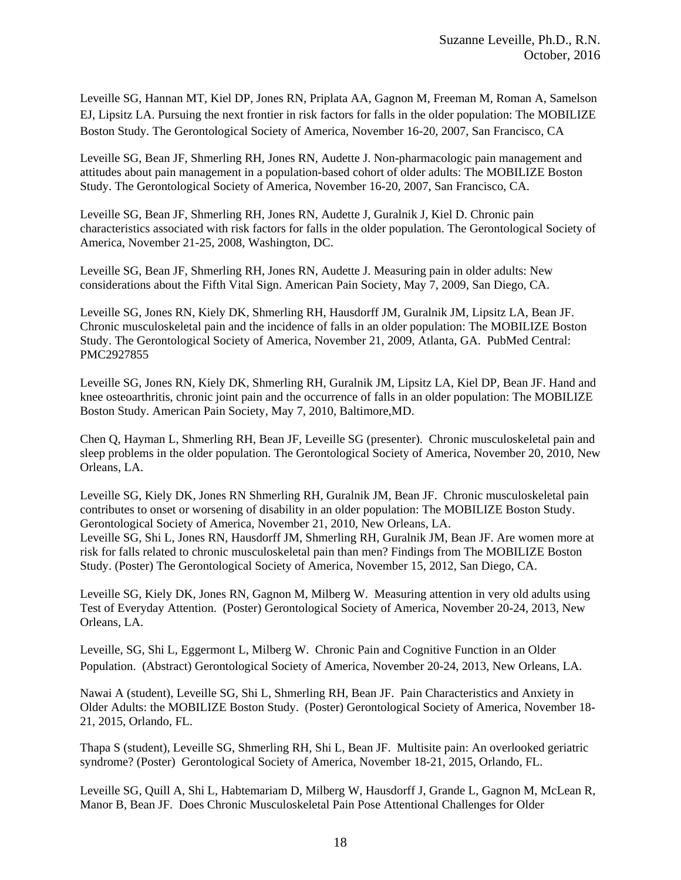Leveille SG, Hannan MT, Kiel DP, Jones RN, Priplata AA, Gagnon M, Freeman M, Roman A, Samelson EJ, Lipsitz LA. Pursuing the next frontier in risk factors for falls in the older population: The MOBILIZE Boston Study. The Gerontological Society of America, November 16-20, 2007, San Francisco, CA

Leveille SG, Bean JF, Shmerling RH, Jones RN, Audette J. Non-pharmacologic pain management and attitudes about pain management in a population-based cohort of older adults: The MOBILIZE Boston Study. The Gerontological Society of America, November 16-20, 2007, San Francisco, CA.

Leveille SG, Bean JF, Shmerling RH, Jones RN, Audette J, Guralnik J, Kiel D. Chronic pain characteristics associated with risk factors for falls in the older population. The Gerontological Society of America, November 21-25, 2008, Washington, DC.

Leveille SG, Bean JF, Shmerling RH, Jones RN, Audette J. Measuring pain in older adults: New considerations about the Fifth Vital Sign. American Pain Society, May 7, 2009, San Diego, CA.

Leveille SG, Jones RN, Kiely DK, Shmerling RH, Hausdorff JM, Guralnik JM, Lipsitz LA, Bean JF. Chronic musculoskeletal pain and the incidence of falls in an older population: The MOBILIZE Boston Study. The Gerontological Society of America, November 21, 2009, Atlanta, GA. PubMed Central: PMC2927855

Leveille SG, Jones RN, Kiely DK, Shmerling RH, Guralnik JM, Lipsitz LA, Kiel DP, Bean JF. Hand and knee osteoarthritis, chronic joint pain and the occurrence of falls in an older population: The MOBILIZE Boston Study. American Pain Society, May 7, 2010, Baltimore,MD.

Chen Q, Hayman L, Shmerling RH, Bean JF, Leveille SG (presenter). Chronic musculoskeletal pain and sleep problems in the older population. The Gerontological Society of America, November 20, 2010, New Orleans, LA.

Leveille SG, Kiely DK, Jones RN Shmerling RH, Guralnik JM, Bean JF. Chronic musculoskeletal pain contributes to onset or worsening of disability in an older population: The MOBILIZE Boston Study. Gerontological Society of America, November 21, 2010, New Orleans, LA.

Leveille SG, Shi L, Jones RN, Hausdorff JM, Shmerling RH, Guralnik JM, Bean JF. Are women more at risk for falls related to chronic musculoskeletal pain than men? Findings from The MOBILIZE Boston Study. (Poster) The Gerontological Society of America, November 15, 2012, San Diego, CA.

Leveille SG, Kiely DK, Jones RN, Gagnon M, Milberg W. Measuring attention in very old adults using Test of Everyday Attention. (Poster) Gerontological Society of America, November 20-24, 2013, New Orleans, LA.

Leveille, SG, Shi L, Eggermont L, Milberg W. Chronic Pain and Cognitive Function in an Older Population. (Abstract) Gerontological Society of America, November 20-24, 2013, New Orleans, LA.

Nawai A (student), Leveille SG, Shi L, Shmerling RH, Bean JF. Pain Characteristics and Anxiety in Older Adults: the MOBILIZE Boston Study. (Poster) Gerontological Society of America, November 18- 21, 2015, Orlando, FL.

Thapa S (student), Leveille SG, Shmerling RH, Shi L, Bean JF. Multisite pain: An overlooked geriatric syndrome? (Poster) Gerontological Society of America, November 18-21, 2015, Orlando, FL.

Leveille SG, Quill A, Shi L, Habtemariam D, Milberg W, Hausdorff J, Grande L, Gagnon M, McLean R, Manor B, Bean JF. Does Chronic Musculoskeletal Pain Pose Attentional Challenges for Older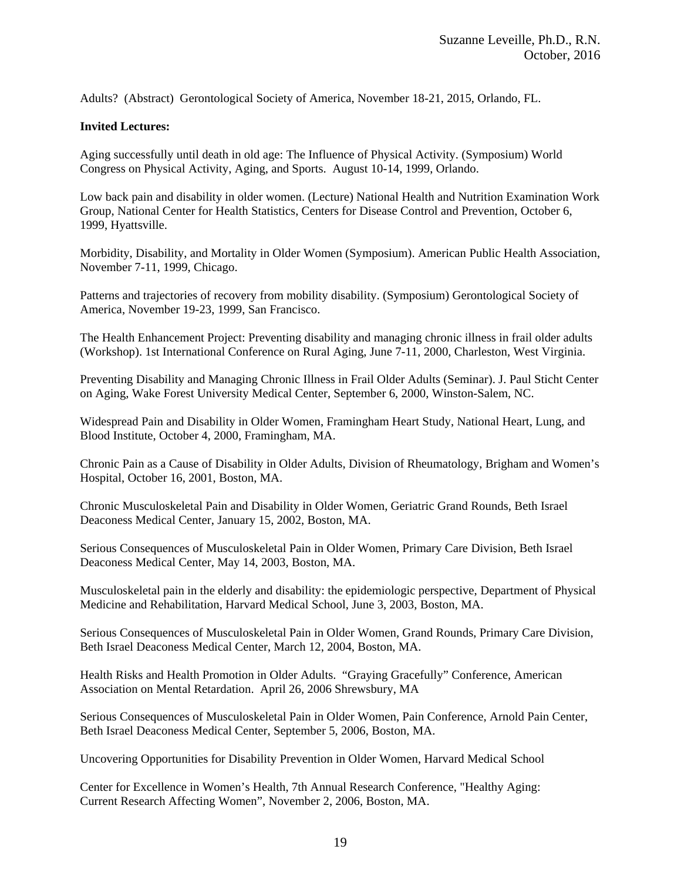Adults? (Abstract) Gerontological Society of America, November 18-21, 2015, Orlando, FL.

### **Invited Lectures:**

Aging successfully until death in old age: The Influence of Physical Activity. (Symposium) World Congress on Physical Activity, Aging, and Sports. August 10-14, 1999, Orlando.

Low back pain and disability in older women. (Lecture) National Health and Nutrition Examination Work Group, National Center for Health Statistics, Centers for Disease Control and Prevention, October 6, 1999, Hyattsville.

Morbidity, Disability, and Mortality in Older Women (Symposium). American Public Health Association, November 7-11, 1999, Chicago.

Patterns and trajectories of recovery from mobility disability. (Symposium) Gerontological Society of America, November 19-23, 1999, San Francisco.

The Health Enhancement Project: Preventing disability and managing chronic illness in frail older adults (Workshop). 1st International Conference on Rural Aging, June 7-11, 2000, Charleston, West Virginia.

Preventing Disability and Managing Chronic Illness in Frail Older Adults (Seminar). J. Paul Sticht Center on Aging, Wake Forest University Medical Center, September 6, 2000, Winston-Salem, NC.

Widespread Pain and Disability in Older Women, Framingham Heart Study, National Heart, Lung, and Blood Institute, October 4, 2000, Framingham, MA.

Chronic Pain as a Cause of Disability in Older Adults, Division of Rheumatology, Brigham and Women's Hospital, October 16, 2001, Boston, MA.

Chronic Musculoskeletal Pain and Disability in Older Women, Geriatric Grand Rounds, Beth Israel Deaconess Medical Center, January 15, 2002, Boston, MA.

Serious Consequences of Musculoskeletal Pain in Older Women, Primary Care Division, Beth Israel Deaconess Medical Center, May 14, 2003, Boston, MA.

Musculoskeletal pain in the elderly and disability: the epidemiologic perspective, Department of Physical Medicine and Rehabilitation, Harvard Medical School, June 3, 2003, Boston, MA.

Serious Consequences of Musculoskeletal Pain in Older Women, Grand Rounds, Primary Care Division, Beth Israel Deaconess Medical Center, March 12, 2004, Boston, MA.

Health Risks and Health Promotion in Older Adults. "Graying Gracefully" Conference, American Association on Mental Retardation. April 26, 2006 Shrewsbury, MA

Serious Consequences of Musculoskeletal Pain in Older Women, Pain Conference, Arnold Pain Center, Beth Israel Deaconess Medical Center, September 5, 2006, Boston, MA.

Uncovering Opportunities for Disability Prevention in Older Women, Harvard Medical School

Center for Excellence in Women's Health, 7th Annual Research Conference, "Healthy Aging: Current Research Affecting Women", November 2, 2006, Boston, MA.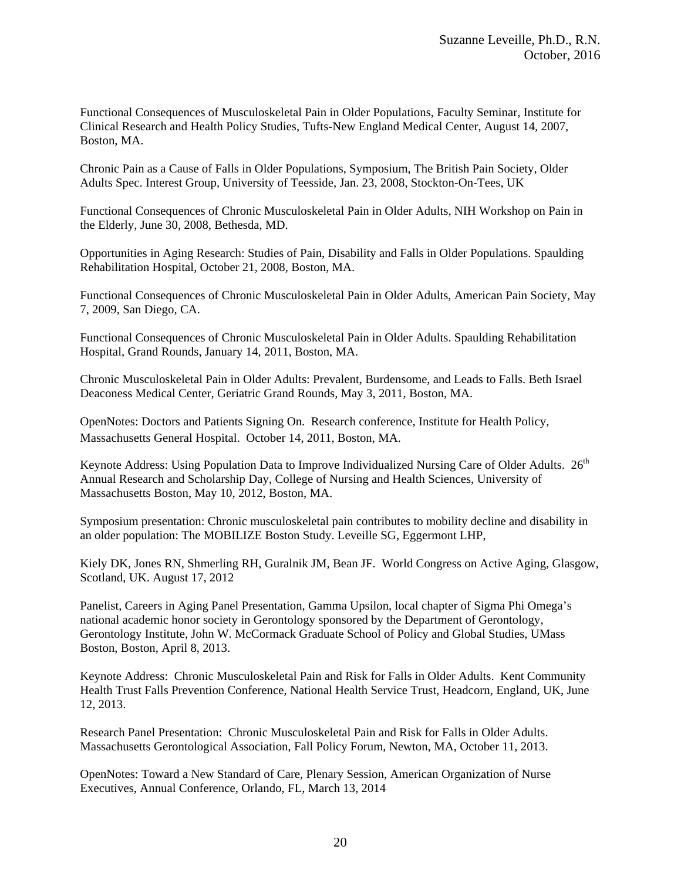Functional Consequences of Musculoskeletal Pain in Older Populations, Faculty Seminar, Institute for Clinical Research and Health Policy Studies, Tufts-New England Medical Center, August 14, 2007, Boston, MA.

Chronic Pain as a Cause of Falls in Older Populations, Symposium, The British Pain Society, Older Adults Spec. Interest Group, University of Teesside, Jan. 23, 2008, Stockton-On-Tees, UK

Functional Consequences of Chronic Musculoskeletal Pain in Older Adults, NIH Workshop on Pain in the Elderly, June 30, 2008, Bethesda, MD.

Opportunities in Aging Research: Studies of Pain, Disability and Falls in Older Populations. Spaulding Rehabilitation Hospital, October 21, 2008, Boston, MA.

Functional Consequences of Chronic Musculoskeletal Pain in Older Adults, American Pain Society, May 7, 2009, San Diego, CA.

Functional Consequences of Chronic Musculoskeletal Pain in Older Adults. Spaulding Rehabilitation Hospital, Grand Rounds, January 14, 2011, Boston, MA.

Chronic Musculoskeletal Pain in Older Adults: Prevalent, Burdensome, and Leads to Falls. Beth Israel Deaconess Medical Center, Geriatric Grand Rounds, May 3, 2011, Boston, MA.

OpenNotes: Doctors and Patients Signing On. Research conference, Institute for Health Policy, Massachusetts General Hospital. October 14, 2011, Boston, MA.

Keynote Address: Using Population Data to Improve Individualized Nursing Care of Older Adults. 26<sup>th</sup> Annual Research and Scholarship Day, College of Nursing and Health Sciences, University of Massachusetts Boston, May 10, 2012, Boston, MA.

Symposium presentation: Chronic musculoskeletal pain contributes to mobility decline and disability in an older population: The MOBILIZE Boston Study. Leveille SG, Eggermont LHP,

Kiely DK, Jones RN, Shmerling RH, Guralnik JM, Bean JF. World Congress on Active Aging, Glasgow, Scotland, UK. August 17, 2012

Panelist, Careers in Aging Panel Presentation, Gamma Upsilon, local chapter of Sigma Phi Omega's national academic honor society in Gerontology sponsored by the Department of Gerontology, Gerontology Institute, John W. McCormack Graduate School of Policy and Global Studies, UMass Boston, Boston, April 8, 2013.

Keynote Address: Chronic Musculoskeletal Pain and Risk for Falls in Older Adults. Kent Community Health Trust Falls Prevention Conference, National Health Service Trust, Headcorn, England, UK, June 12, 2013.

Research Panel Presentation: Chronic Musculoskeletal Pain and Risk for Falls in Older Adults. Massachusetts Gerontological Association, Fall Policy Forum, Newton, MA, October 11, 2013.

OpenNotes: Toward a New Standard of Care, Plenary Session, American Organization of Nurse Executives, Annual Conference, Orlando, FL, March 13, 2014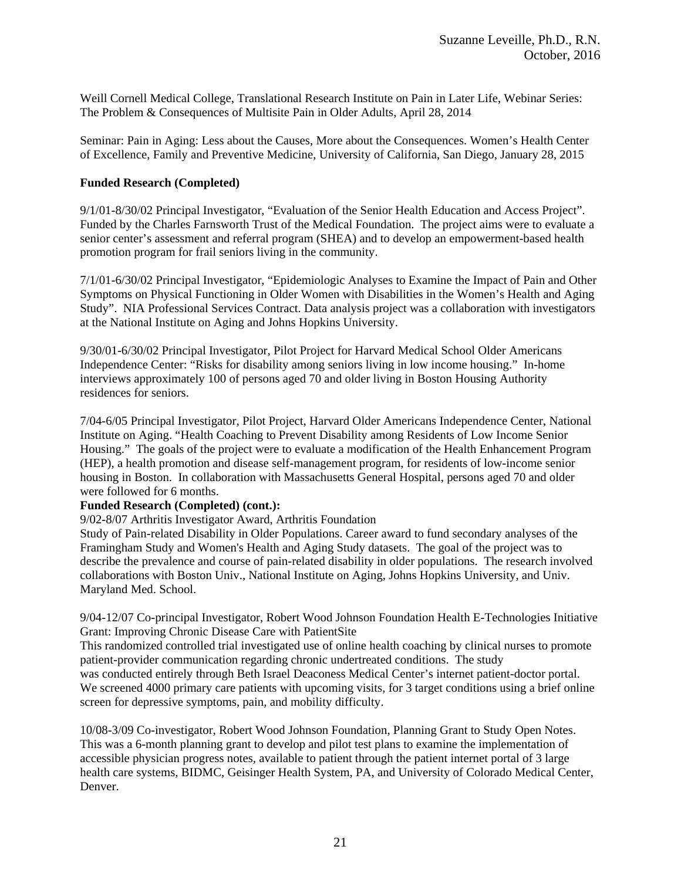Weill Cornell Medical College, Translational Research Institute on Pain in Later Life, Webinar Series: The Problem & Consequences of Multisite Pain in Older Adults, April 28, 2014

Seminar: Pain in Aging: Less about the Causes, More about the Consequences. Women's Health Center of Excellence, Family and Preventive Medicine, University of California, San Diego, January 28, 2015

### **Funded Research (Completed)**

9/1/01-8/30/02 Principal Investigator, "Evaluation of the Senior Health Education and Access Project". Funded by the Charles Farnsworth Trust of the Medical Foundation. The project aims were to evaluate a senior center's assessment and referral program (SHEA) and to develop an empowerment-based health promotion program for frail seniors living in the community.

7/1/01-6/30/02 Principal Investigator, "Epidemiologic Analyses to Examine the Impact of Pain and Other Symptoms on Physical Functioning in Older Women with Disabilities in the Women's Health and Aging Study". NIA Professional Services Contract. Data analysis project was a collaboration with investigators at the National Institute on Aging and Johns Hopkins University.

9/30/01-6/30/02 Principal Investigator, Pilot Project for Harvard Medical School Older Americans Independence Center: "Risks for disability among seniors living in low income housing." In-home interviews approximately 100 of persons aged 70 and older living in Boston Housing Authority residences for seniors.

7/04-6/05 Principal Investigator, Pilot Project, Harvard Older Americans Independence Center, National Institute on Aging. "Health Coaching to Prevent Disability among Residents of Low Income Senior Housing." The goals of the project were to evaluate a modification of the Health Enhancement Program (HEP), a health promotion and disease self-management program, for residents of low-income senior housing in Boston. In collaboration with Massachusetts General Hospital, persons aged 70 and older were followed for 6 months.

### **Funded Research (Completed) (cont.):**

9/02-8/07 Arthritis Investigator Award, Arthritis Foundation

Study of Pain-related Disability in Older Populations. Career award to fund secondary analyses of the Framingham Study and Women's Health and Aging Study datasets. The goal of the project was to describe the prevalence and course of pain-related disability in older populations. The research involved collaborations with Boston Univ., National Institute on Aging, Johns Hopkins University, and Univ. Maryland Med. School.

9/04-12/07 Co-principal Investigator, Robert Wood Johnson Foundation Health E-Technologies Initiative Grant: Improving Chronic Disease Care with PatientSite

This randomized controlled trial investigated use of online health coaching by clinical nurses to promote patient-provider communication regarding chronic undertreated conditions. The study was conducted entirely through Beth Israel Deaconess Medical Center's internet patient-doctor portal. We screened 4000 primary care patients with upcoming visits, for 3 target conditions using a brief online screen for depressive symptoms, pain, and mobility difficulty.

10/08-3/09 Co-investigator, Robert Wood Johnson Foundation, Planning Grant to Study Open Notes. This was a 6-month planning grant to develop and pilot test plans to examine the implementation of accessible physician progress notes, available to patient through the patient internet portal of 3 large health care systems, BIDMC, Geisinger Health System, PA, and University of Colorado Medical Center, Denver.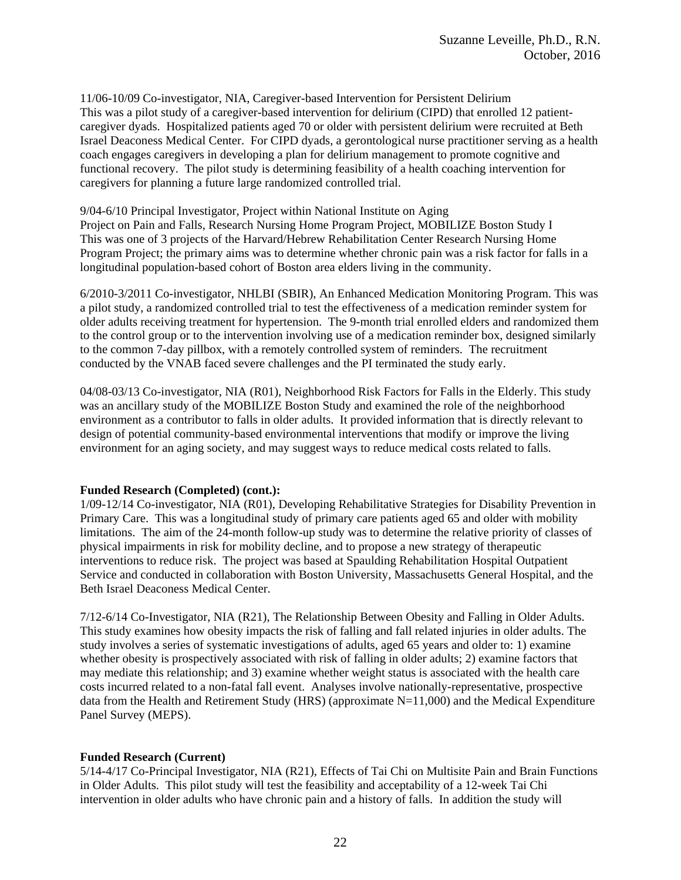11/06-10/09 Co-investigator, NIA, Caregiver-based Intervention for Persistent Delirium This was a pilot study of a caregiver-based intervention for delirium (CIPD) that enrolled 12 patientcaregiver dyads. Hospitalized patients aged 70 or older with persistent delirium were recruited at Beth Israel Deaconess Medical Center. For CIPD dyads, a gerontological nurse practitioner serving as a health coach engages caregivers in developing a plan for delirium management to promote cognitive and functional recovery. The pilot study is determining feasibility of a health coaching intervention for caregivers for planning a future large randomized controlled trial.

9/04-6/10 Principal Investigator, Project within National Institute on Aging Project on Pain and Falls, Research Nursing Home Program Project, MOBILIZE Boston Study I This was one of 3 projects of the Harvard/Hebrew Rehabilitation Center Research Nursing Home Program Project; the primary aims was to determine whether chronic pain was a risk factor for falls in a longitudinal population-based cohort of Boston area elders living in the community.

6/2010-3/2011 Co-investigator, NHLBI (SBIR), An Enhanced Medication Monitoring Program. This was a pilot study, a randomized controlled trial to test the effectiveness of a medication reminder system for older adults receiving treatment for hypertension. The 9-month trial enrolled elders and randomized them to the control group or to the intervention involving use of a medication reminder box, designed similarly to the common 7-day pillbox, with a remotely controlled system of reminders. The recruitment conducted by the VNAB faced severe challenges and the PI terminated the study early.

04/08-03/13 Co-investigator, NIA (R01), Neighborhood Risk Factors for Falls in the Elderly. This study was an ancillary study of the MOBILIZE Boston Study and examined the role of the neighborhood environment as a contributor to falls in older adults. It provided information that is directly relevant to design of potential community-based environmental interventions that modify or improve the living environment for an aging society, and may suggest ways to reduce medical costs related to falls.

### **Funded Research (Completed) (cont.):**

1/09-12/14 Co-investigator, NIA (R01), Developing Rehabilitative Strategies for Disability Prevention in Primary Care. This was a longitudinal study of primary care patients aged 65 and older with mobility limitations. The aim of the 24-month follow-up study was to determine the relative priority of classes of physical impairments in risk for mobility decline, and to propose a new strategy of therapeutic interventions to reduce risk. The project was based at Spaulding Rehabilitation Hospital Outpatient Service and conducted in collaboration with Boston University, Massachusetts General Hospital, and the Beth Israel Deaconess Medical Center.

7/12-6/14 Co-Investigator, NIA (R21), The Relationship Between Obesity and Falling in Older Adults. This study examines how obesity impacts the risk of falling and fall related injuries in older adults. The study involves a series of systematic investigations of adults, aged 65 years and older to: 1) examine whether obesity is prospectively associated with risk of falling in older adults; 2) examine factors that may mediate this relationship; and 3) examine whether weight status is associated with the health care costs incurred related to a non-fatal fall event. Analyses involve nationally-representative, prospective data from the Health and Retirement Study (HRS) (approximate N=11,000) and the Medical Expenditure Panel Survey (MEPS).

# **Funded Research (Current)**

5/14-4/17 Co-Principal Investigator, NIA (R21), Effects of Tai Chi on Multisite Pain and Brain Functions in Older Adults. This pilot study will test the feasibility and acceptability of a 12-week Tai Chi intervention in older adults who have chronic pain and a history of falls. In addition the study will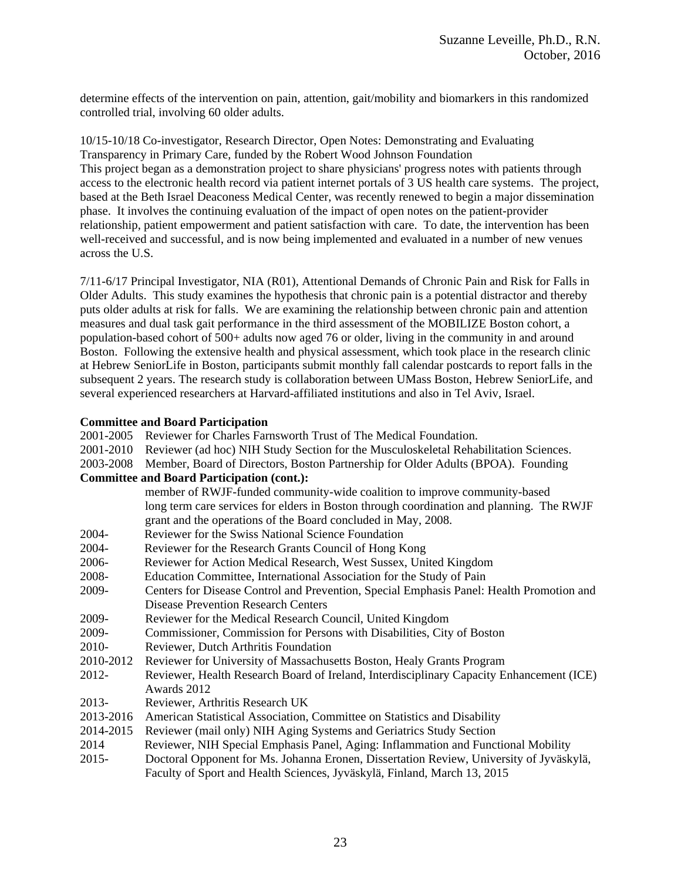determine effects of the intervention on pain, attention, gait/mobility and biomarkers in this randomized controlled trial, involving 60 older adults.

10/15-10/18 Co-investigator, Research Director, Open Notes: Demonstrating and Evaluating Transparency in Primary Care, funded by the Robert Wood Johnson Foundation This project began as a demonstration project to share physicians' progress notes with patients through access to the electronic health record via patient internet portals of 3 US health care systems. The project, based at the Beth Israel Deaconess Medical Center, was recently renewed to begin a major dissemination phase. It involves the continuing evaluation of the impact of open notes on the patient-provider relationship, patient empowerment and patient satisfaction with care. To date, the intervention has been well-received and successful, and is now being implemented and evaluated in a number of new venues across the U.S.

7/11-6/17 Principal Investigator, NIA (R01), Attentional Demands of Chronic Pain and Risk for Falls in Older Adults. This study examines the hypothesis that chronic pain is a potential distractor and thereby puts older adults at risk for falls. We are examining the relationship between chronic pain and attention measures and dual task gait performance in the third assessment of the MOBILIZE Boston cohort, a population-based cohort of 500+ adults now aged 76 or older, living in the community in and around Boston. Following the extensive health and physical assessment, which took place in the research clinic at Hebrew SeniorLife in Boston, participants submit monthly fall calendar postcards to report falls in the subsequent 2 years. The research study is collaboration between UMass Boston, Hebrew SeniorLife, and several experienced researchers at Harvard-affiliated institutions and also in Tel Aviv, Israel.

## **Committee and Board Participation**

| 2001-2005 | Reviewer for Charles Farnsworth Trust of The Medical Foundation.                         |  |  |
|-----------|------------------------------------------------------------------------------------------|--|--|
| 2001-2010 | Reviewer (ad hoc) NIH Study Section for the Musculoskeletal Rehabilitation Sciences.     |  |  |
| 2003-2008 | Member, Board of Directors, Boston Partnership for Older Adults (BPOA). Founding         |  |  |
|           | <b>Committee and Board Participation (cont.):</b>                                        |  |  |
|           | member of RWJF-funded community-wide coalition to improve community-based                |  |  |
|           | long term care services for elders in Boston through coordination and planning. The RWJF |  |  |
|           | grant and the operations of the Board concluded in May, 2008.                            |  |  |
| 2004-     | Reviewer for the Swiss National Science Foundation                                       |  |  |
| 2004-     | Reviewer for the Research Grants Council of Hong Kong                                    |  |  |
| 2006-     | Reviewer for Action Medical Research, West Sussex, United Kingdom                        |  |  |
| 2008-     | Education Committee, International Association for the Study of Pain                     |  |  |
| 2009-     | Centers for Disease Control and Prevention, Special Emphasis Panel: Health Promotion and |  |  |
|           | <b>Disease Prevention Research Centers</b>                                               |  |  |
| 2009-     | Reviewer for the Medical Research Council, United Kingdom                                |  |  |
| 2009-     | Commissioner, Commission for Persons with Disabilities, City of Boston                   |  |  |
| 2010-     | Reviewer, Dutch Arthritis Foundation                                                     |  |  |
| 2010-2012 | Reviewer for University of Massachusetts Boston, Healy Grants Program                    |  |  |
| 2012-     | Reviewer, Health Research Board of Ireland, Interdisciplinary Capacity Enhancement (ICE) |  |  |
|           | Awards 2012                                                                              |  |  |
| 2013-     | Reviewer, Arthritis Research UK                                                          |  |  |
| 2013-2016 | American Statistical Association, Committee on Statistics and Disability                 |  |  |
| 2014-2015 | Reviewer (mail only) NIH Aging Systems and Geriatrics Study Section                      |  |  |
| 2014      | Reviewer, NIH Special Emphasis Panel, Aging: Inflammation and Functional Mobility        |  |  |
| $2015 -$  | Doctoral Opponent for Ms. Johanna Eronen, Dissertation Review, University of Jyväskylä,  |  |  |
|           | Faculty of Sport and Health Sciences, Jyväskylä, Finland, March 13, 2015                 |  |  |
|           |                                                                                          |  |  |